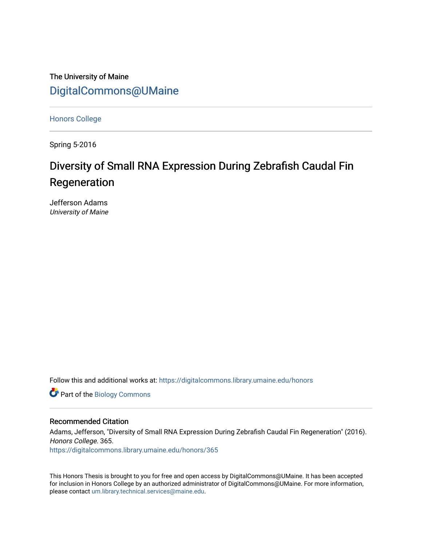The University of Maine [DigitalCommons@UMaine](https://digitalcommons.library.umaine.edu/)

[Honors College](https://digitalcommons.library.umaine.edu/honors)

Spring 5-2016

# Diversity of Small RNA Expression During Zebrafish Caudal Fin Regeneration

Jefferson Adams University of Maine

Follow this and additional works at: [https://digitalcommons.library.umaine.edu/honors](https://digitalcommons.library.umaine.edu/honors?utm_source=digitalcommons.library.umaine.edu%2Fhonors%2F365&utm_medium=PDF&utm_campaign=PDFCoverPages) 

Part of the [Biology Commons](http://network.bepress.com/hgg/discipline/41?utm_source=digitalcommons.library.umaine.edu%2Fhonors%2F365&utm_medium=PDF&utm_campaign=PDFCoverPages) 

### Recommended Citation

Adams, Jefferson, "Diversity of Small RNA Expression During Zebrafish Caudal Fin Regeneration" (2016). Honors College. 365.

[https://digitalcommons.library.umaine.edu/honors/365](https://digitalcommons.library.umaine.edu/honors/365?utm_source=digitalcommons.library.umaine.edu%2Fhonors%2F365&utm_medium=PDF&utm_campaign=PDFCoverPages) 

This Honors Thesis is brought to you for free and open access by DigitalCommons@UMaine. It has been accepted for inclusion in Honors College by an authorized administrator of DigitalCommons@UMaine. For more information, please contact [um.library.technical.services@maine.edu.](mailto:um.library.technical.services@maine.edu)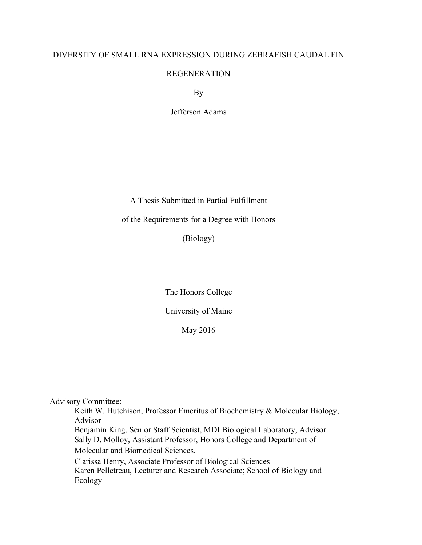# DIVERSITY OF SMALL RNA EXPRESSION DURING ZEBRAFISH CAUDAL FIN

# REGENERATION

By

Jefferson Adams

A Thesis Submitted in Partial Fulfillment

# of the Requirements for a Degree with Honors

(Biology)

The Honors College

University of Maine

May 2016

Advisory Committee:

 Keith W. Hutchison, Professor Emeritus of Biochemistry & Molecular Biology, Advisor Benjamin King, Senior Staff Scientist, MDI Biological Laboratory, Advisor Sally D. Molloy, Assistant Professor, Honors College and Department of Molecular and Biomedical Sciences. Clarissa Henry, Associate Professor of Biological Sciences

Karen Pelletreau, Lecturer and Research Associate; School of Biology and Ecology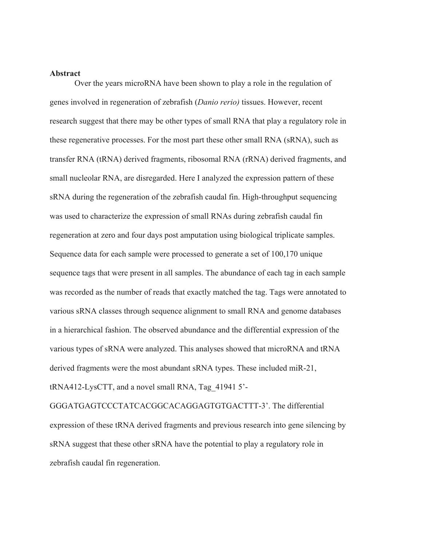#### **Abstract**

Over the years microRNA have been shown to play a role in the regulation of genes involved in regeneration of zebrafish (*Danio rerio)* tissues. However, recent research suggest that there may be other types of small RNA that play a regulatory role in these regenerative processes. For the most part these other small RNA (sRNA), such as transfer RNA (tRNA) derived fragments, ribosomal RNA (rRNA) derived fragments, and small nucleolar RNA, are disregarded. Here I analyzed the expression pattern of these sRNA during the regeneration of the zebrafish caudal fin. High-throughput sequencing was used to characterize the expression of small RNAs during zebrafish caudal fin regeneration at zero and four days post amputation using biological triplicate samples. Sequence data for each sample were processed to generate a set of 100,170 unique sequence tags that were present in all samples. The abundance of each tag in each sample was recorded as the number of reads that exactly matched the tag. Tags were annotated to various sRNA classes through sequence alignment to small RNA and genome databases in a hierarchical fashion. The observed abundance and the differential expression of the various types of sRNA were analyzed. This analyses showed that microRNA and tRNA derived fragments were the most abundant sRNA types. These included miR-21, tRNA412-LysCTT, and a novel small RNA, Tag\_41941 5'-

GGGATGAGTCCCTATCACGGCACAGGAGTGTGACTTT-3'. The differential expression of these tRNA derived fragments and previous research into gene silencing by sRNA suggest that these other sRNA have the potential to play a regulatory role in zebrafish caudal fin regeneration.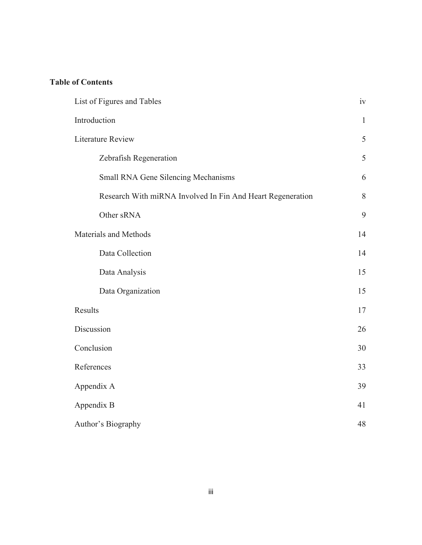# **Table of Contents**

| List of Figures and Tables                                 | iv           |
|------------------------------------------------------------|--------------|
| Introduction                                               | $\mathbf{1}$ |
| <b>Literature Review</b>                                   | 5            |
| Zebrafish Regeneration                                     | 5            |
| Small RNA Gene Silencing Mechanisms                        | 6            |
| Research With miRNA Involved In Fin And Heart Regeneration | 8            |
| Other sRNA                                                 | 9            |
| Materials and Methods                                      | 14           |
| Data Collection                                            | 14           |
| Data Analysis                                              | 15           |
| Data Organization                                          | 15           |
| Results                                                    | 17           |
| Discussion                                                 | 26           |
| Conclusion                                                 | 30           |
| References                                                 | 33           |
| Appendix A                                                 | 39           |
| Appendix B                                                 | 41           |
| Author's Biography                                         | 48           |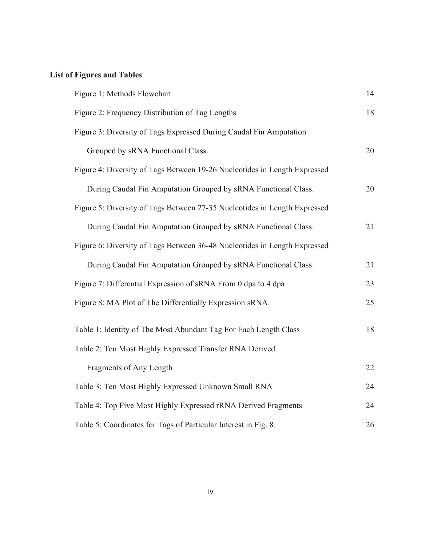# **List of Figures and Tables**

| Figure 1: Methods Flowchart                                               | 14 |
|---------------------------------------------------------------------------|----|
| Figure 2: Frequency Distribution of Tag Lengths                           | 18 |
| Figure 3: Diversity of Tags Expressed During Caudal Fin Amputation        |    |
| Grouped by sRNA Functional Class.                                         | 20 |
| Figure 4: Diversity of Tags Between 19-26 Nucleotides in Length Expressed |    |
| During Caudal Fin Amputation Grouped by sRNA Functional Class.            | 20 |
| Figure 5: Diversity of Tags Between 27-35 Nucleotides in Length Expressed |    |
| During Caudal Fin Amputation Grouped by sRNA Functional Class.            | 21 |
| Figure 6: Diversity of Tags Between 36-48 Nucleotides in Length Expressed |    |
| During Caudal Fin Amputation Grouped by sRNA Functional Class.            | 21 |
| Figure 7: Differential Expression of sRNA From 0 dpa to 4 dpa             | 23 |
| Figure 8: MA Plot of The Differentially Expression sRNA.                  | 25 |
| Table 1: Identity of The Most Abundant Tag For Each Length Class          | 18 |
| Table 2: Ten Most Highly Expressed Transfer RNA Derived                   |    |
| Fragments of Any Length                                                   | 22 |
| Table 3: Ten Most Highly Expressed Unknown Small RNA                      | 24 |
| Table 4: Top Five Most Highly Expressed rRNA Derived Fragments            | 24 |
| Table 5: Coordinates for Tags of Particular Interest in Fig. 8.           | 26 |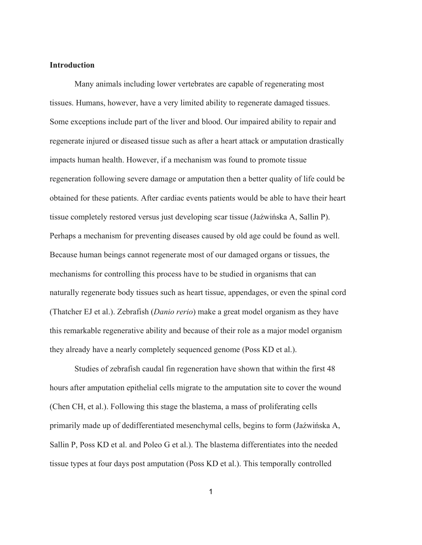# **Introduction**

 Many animals including lower vertebrates are capable of regenerating most tissues. Humans, however, have a very limited ability to regenerate damaged tissues. Some exceptions include part of the liver and blood. Our impaired ability to repair and regenerate injured or diseased tissue such as after a heart attack or amputation drastically impacts human health. However, if a mechanism was found to promote tissue regeneration following severe damage or amputation then a better quality of life could be obtained for these patients. After cardiac events patients would be able to have their heart tissue completely restored versus just developing scar tissue (Jaźwińska A, Sallin P). Perhaps a mechanism for preventing diseases caused by old age could be found as well. Because human beings cannot regenerate most of our damaged organs or tissues, the mechanisms for controlling this process have to be studied in organisms that can naturally regenerate body tissues such as heart tissue, appendages, or even the spinal cord (Thatcher EJ et al.). Zebrafish (*Danio rerio*) make a great model organism as they have this remarkable regenerative ability and because of their role as a major model organism they already have a nearly completely sequenced genome (Poss KD et al.).

Studies of zebrafish caudal fin regeneration have shown that within the first 48 hours after amputation epithelial cells migrate to the amputation site to cover the wound (Chen CH, et al.). Following this stage the blastema, a mass of proliferating cells primarily made up of dedifferentiated mesenchymal cells, begins to form (Jaźwińska A, Sallin P, Poss KD et al. and Poleo G et al.). The blastema differentiates into the needed tissue types at four days post amputation (Poss KD et al.). This temporally controlled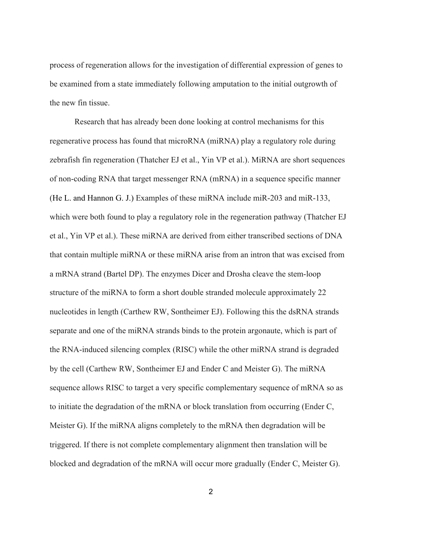process of regeneration allows for the investigation of differential expression of genes to be examined from a state immediately following amputation to the initial outgrowth of the new fin tissue.

 Research that has already been done looking at control mechanisms for this regenerative process has found that microRNA (miRNA) play a regulatory role during zebrafish fin regeneration (Thatcher EJ et al., Yin VP et al.). MiRNA are short sequences of non-coding RNA that target messenger RNA (mRNA) in a sequence specific manner (He L. and Hannon G. J.) Examples of these miRNA include miR-203 and miR-133, which were both found to play a regulatory role in the regeneration pathway (Thatcher EJ et al., Yin VP et al.). These miRNA are derived from either transcribed sections of DNA that contain multiple miRNA or these miRNA arise from an intron that was excised from a mRNA strand (Bartel DP). The enzymes Dicer and Drosha cleave the stem-loop structure of the miRNA to form a short double stranded molecule approximately 22 nucleotides in length (Carthew RW, Sontheimer EJ). Following this the dsRNA strands separate and one of the miRNA strands binds to the protein argonaute, which is part of the RNA-induced silencing complex (RISC) while the other miRNA strand is degraded by the cell (Carthew RW, Sontheimer EJ and Ender C and Meister G). The miRNA sequence allows RISC to target a very specific complementary sequence of mRNA so as to initiate the degradation of the mRNA or block translation from occurring (Ender C, Meister G). If the miRNA aligns completely to the mRNA then degradation will be triggered. If there is not complete complementary alignment then translation will be blocked and degradation of the mRNA will occur more gradually (Ender C, Meister G).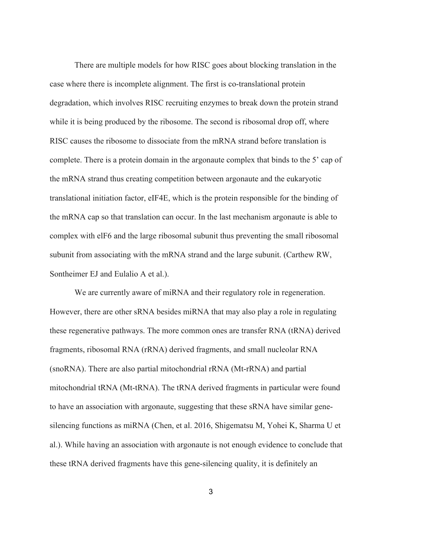There are multiple models for how RISC goes about blocking translation in the case where there is incomplete alignment. The first is co-translational protein degradation, which involves RISC recruiting enzymes to break down the protein strand while it is being produced by the ribosome. The second is ribosomal drop off, where RISC causes the ribosome to dissociate from the mRNA strand before translation is complete. There is a protein domain in the argonaute complex that binds to the 5' cap of the mRNA strand thus creating competition between argonaute and the eukaryotic translational initiation factor, eIF4E, which is the protein responsible for the binding of the mRNA cap so that translation can occur. In the last mechanism argonaute is able to complex with elF6 and the large ribosomal subunit thus preventing the small ribosomal subunit from associating with the mRNA strand and the large subunit. (Carthew RW, Sontheimer EJ and Eulalio A et al.).

We are currently aware of miRNA and their regulatory role in regeneration. However, there are other sRNA besides miRNA that may also play a role in regulating these regenerative pathways. The more common ones are transfer RNA (tRNA) derived fragments, ribosomal RNA (rRNA) derived fragments, and small nucleolar RNA (snoRNA). There are also partial mitochondrial rRNA (Mt-rRNA) and partial mitochondrial tRNA (Mt-tRNA). The tRNA derived fragments in particular were found to have an association with argonaute, suggesting that these sRNA have similar genesilencing functions as miRNA (Chen, et al. 2016, Shigematsu M, Yohei K, Sharma U et al.). While having an association with argonaute is not enough evidence to conclude that these tRNA derived fragments have this gene-silencing quality, it is definitely an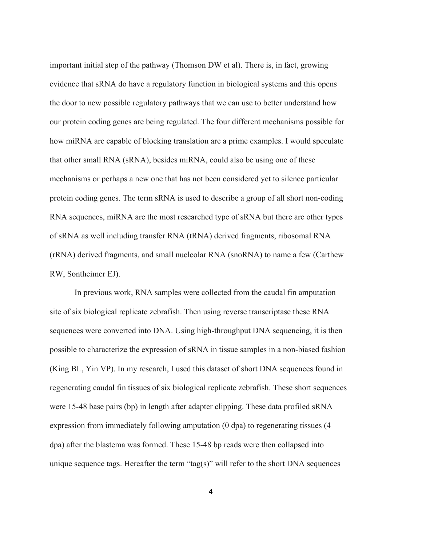important initial step of the pathway (Thomson DW et al). There is, in fact, growing evidence that sRNA do have a regulatory function in biological systems and this opens the door to new possible regulatory pathways that we can use to better understand how our protein coding genes are being regulated. The four different mechanisms possible for how miRNA are capable of blocking translation are a prime examples. I would speculate that other small RNA (sRNA), besides miRNA, could also be using one of these mechanisms or perhaps a new one that has not been considered yet to silence particular protein coding genes. The term sRNA is used to describe a group of all short non-coding RNA sequences, miRNA are the most researched type of sRNA but there are other types of sRNA as well including transfer RNA (tRNA) derived fragments, ribosomal RNA (rRNA) derived fragments, and small nucleolar RNA (snoRNA) to name a few (Carthew RW, Sontheimer EJ).

In previous work, RNA samples were collected from the caudal fin amputation site of six biological replicate zebrafish. Then using reverse transcriptase these RNA sequences were converted into DNA. Using high-throughput DNA sequencing, it is then possible to characterize the expression of sRNA in tissue samples in a non-biased fashion (King BL, Yin VP). In my research, I used this dataset of short DNA sequences found in regenerating caudal fin tissues of six biological replicate zebrafish. These short sequences were 15-48 base pairs (bp) in length after adapter clipping. These data profiled sRNA expression from immediately following amputation (0 dpa) to regenerating tissues (4 dpa) after the blastema was formed. These 15-48 bp reads were then collapsed into unique sequence tags. Hereafter the term "tag(s)" will refer to the short DNA sequences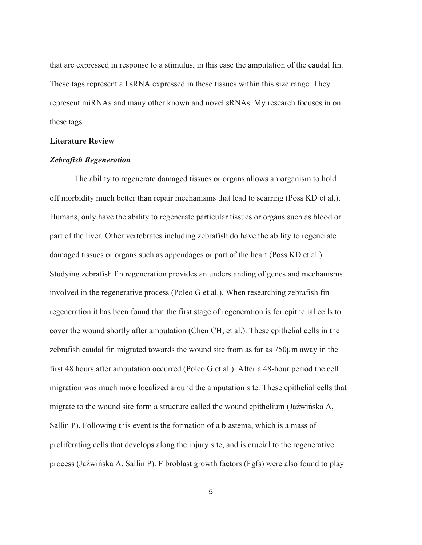that are expressed in response to a stimulus, in this case the amputation of the caudal fin. These tags represent all sRNA expressed in these tissues within this size range. They represent miRNAs and many other known and novel sRNAs. My research focuses in on these tags.

#### **Literature Review**

#### *Zebrafish Regeneration*

The ability to regenerate damaged tissues or organs allows an organism to hold off morbidity much better than repair mechanisms that lead to scarring (Poss KD et al.). Humans, only have the ability to regenerate particular tissues or organs such as blood or part of the liver. Other vertebrates including zebrafish do have the ability to regenerate damaged tissues or organs such as appendages or part of the heart (Poss KD et al.). Studying zebrafish fin regeneration provides an understanding of genes and mechanisms involved in the regenerative process (Poleo G et al.). When researching zebrafish fin regeneration it has been found that the first stage of regeneration is for epithelial cells to cover the wound shortly after amputation (Chen CH, et al.). These epithelial cells in the zebrafish caudal fin migrated towards the wound site from as far as 750µm away in the first 48 hours after amputation occurred (Poleo G et al.). After a 48-hour period the cell migration was much more localized around the amputation site. These epithelial cells that migrate to the wound site form a structure called the wound epithelium (Jaźwińska A, Sallin P). Following this event is the formation of a blastema, which is a mass of proliferating cells that develops along the injury site, and is crucial to the regenerative process (Jaźwińska A, Sallin P). Fibroblast growth factors (Fgfs) were also found to play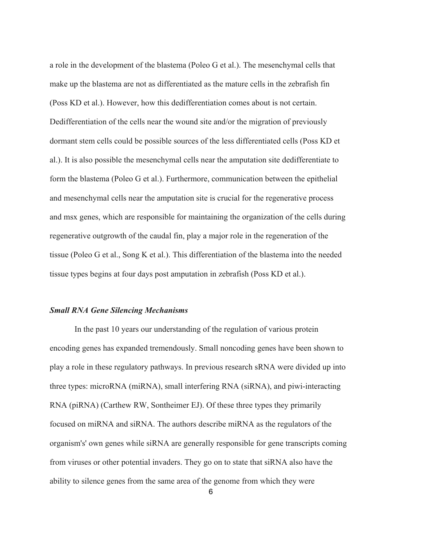a role in the development of the blastema (Poleo G et al.). The mesenchymal cells that make up the blastema are not as differentiated as the mature cells in the zebrafish fin (Poss KD et al.). However, how this dedifferentiation comes about is not certain. Dedifferentiation of the cells near the wound site and/or the migration of previously dormant stem cells could be possible sources of the less differentiated cells (Poss KD et al.). It is also possible the mesenchymal cells near the amputation site dedifferentiate to form the blastema (Poleo G et al.). Furthermore, communication between the epithelial and mesenchymal cells near the amputation site is crucial for the regenerative process and msx genes, which are responsible for maintaining the organization of the cells during regenerative outgrowth of the caudal fin, play a major role in the regeneration of the tissue (Poleo G et al., Song K et al.). This differentiation of the blastema into the needed tissue types begins at four days post amputation in zebrafish (Poss KD et al.).

#### *Small RNA Gene Silencing Mechanisms*

In the past 10 years our understanding of the regulation of various protein encoding genes has expanded tremendously. Small noncoding genes have been shown to play a role in these regulatory pathways. In previous research sRNA were divided up into three types: microRNA (miRNA), small interfering RNA (siRNA), and piwi-interacting RNA (piRNA) (Carthew RW, Sontheimer EJ). Of these three types they primarily focused on miRNA and siRNA. The authors describe miRNA as the regulators of the organism's' own genes while siRNA are generally responsible for gene transcripts coming from viruses or other potential invaders. They go on to state that siRNA also have the ability to silence genes from the same area of the genome from which they were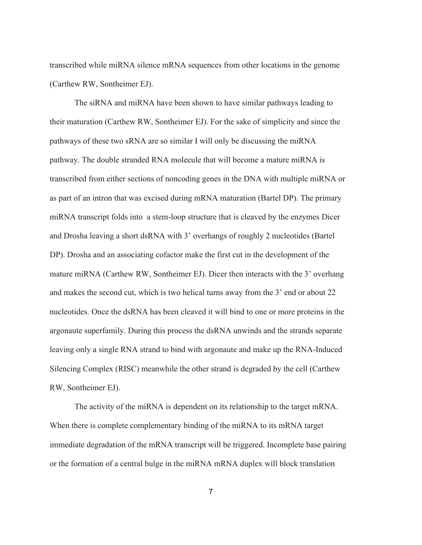transcribed while miRNA silence mRNA sequences from other locations in the genome (Carthew RW, Sontheimer EJ).

The siRNA and miRNA have been shown to have similar pathways leading to their maturation (Carthew RW, Sontheimer EJ). For the sake of simplicity and since the pathways of these two sRNA are so similar I will only be discussing the miRNA pathway. The double stranded RNA molecule that will become a mature miRNA is transcribed from either sections of noncoding genes in the DNA with multiple miRNA or as part of an intron that was excised during mRNA maturation (Bartel DP). The primary miRNA transcript folds into a stem-loop structure that is cleaved by the enzymes Dicer and Drosha leaving a short dsRNA with 3' overhangs of roughly 2 nucleotides (Bartel DP). Drosha and an associating cofactor make the first cut in the development of the mature miRNA (Carthew RW, Sontheimer EJ). Dicer then interacts with the 3' overhang and makes the second cut, which is two helical turns away from the 3' end or about 22 nucleotides. Once the dsRNA has been cleaved it will bind to one or more proteins in the argonaute superfamily. During this process the dsRNA unwinds and the strands separate leaving only a single RNA strand to bind with argonaute and make up the RNA-Induced Silencing Complex (RISC) meanwhile the other strand is degraded by the cell (Carthew RW, Sontheimer EJ).

The activity of the miRNA is dependent on its relationship to the target mRNA. When there is complete complementary binding of the miRNA to its mRNA target immediate degradation of the mRNA transcript will be triggered. Incomplete base pairing or the formation of a central bulge in the miRNA mRNA duplex will block translation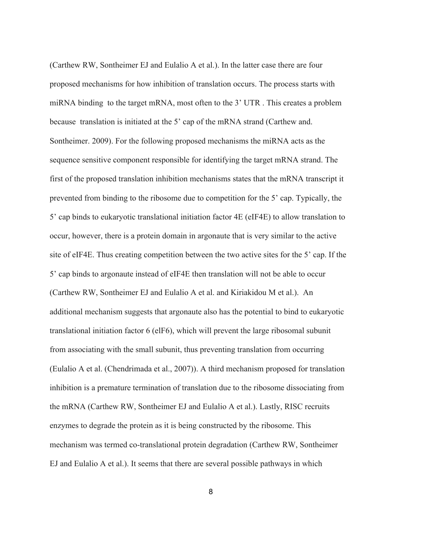(Carthew RW, Sontheimer EJ and Eulalio A et al.). In the latter case there are four proposed mechanisms for how inhibition of translation occurs. The process starts with miRNA binding to the target mRNA, most often to the 3' UTR . This creates a problem because translation is initiated at the 5' cap of the mRNA strand (Carthew and. Sontheimer. 2009). For the following proposed mechanisms the miRNA acts as the sequence sensitive component responsible for identifying the target mRNA strand. The first of the proposed translation inhibition mechanisms states that the mRNA transcript it prevented from binding to the ribosome due to competition for the 5' cap. Typically, the 5' cap binds to eukaryotic translational initiation factor 4E (eIF4E) to allow translation to occur, however, there is a protein domain in argonaute that is very similar to the active site of eIF4E. Thus creating competition between the two active sites for the 5' cap. If the 5' cap binds to argonaute instead of eIF4E then translation will not be able to occur (Carthew RW, Sontheimer EJ and Eulalio A et al. and Kiriakidou M et al.). An additional mechanism suggests that argonaute also has the potential to bind to eukaryotic translational initiation factor 6 (elF6), which will prevent the large ribosomal subunit from associating with the small subunit, thus preventing translation from occurring (Eulalio A et al. (Chendrimada et al., 2007)). A third mechanism proposed for translation inhibition is a premature termination of translation due to the ribosome dissociating from the mRNA (Carthew RW, Sontheimer EJ and Eulalio A et al.). Lastly, RISC recruits enzymes to degrade the protein as it is being constructed by the ribosome. This mechanism was termed co-translational protein degradation (Carthew RW, Sontheimer EJ and Eulalio A et al.). It seems that there are several possible pathways in which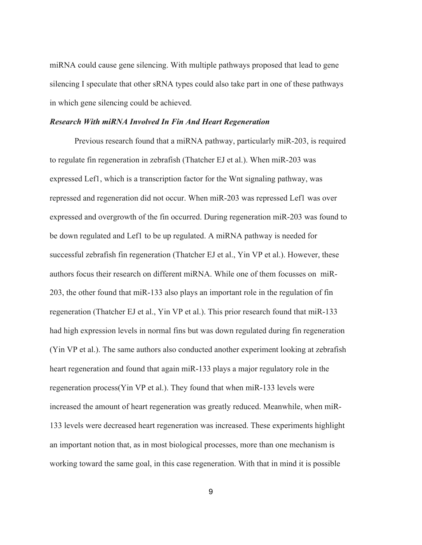miRNA could cause gene silencing. With multiple pathways proposed that lead to gene silencing I speculate that other sRNA types could also take part in one of these pathways in which gene silencing could be achieved.

#### *Research With miRNA Involved In Fin And Heart Regeneration*

Previous research found that a miRNA pathway, particularly miR-203, is required to regulate fin regeneration in zebrafish (Thatcher EJ et al.). When miR-203 was expressed Lef1, which is a transcription factor for the Wnt signaling pathway, was repressed and regeneration did not occur. When miR-203 was repressed Lef1 was over expressed and overgrowth of the fin occurred. During regeneration miR-203 was found to be down regulated and Lef1 to be up regulated. A miRNA pathway is needed for successful zebrafish fin regeneration (Thatcher EJ et al., Yin VP et al.). However, these authors focus their research on different miRNA. While one of them focusses on miR-203, the other found that miR-133 also plays an important role in the regulation of fin regeneration (Thatcher EJ et al., Yin VP et al.). This prior research found that miR-133 had high expression levels in normal fins but was down regulated during fin regeneration (Yin VP et al.). The same authors also conducted another experiment looking at zebrafish heart regeneration and found that again miR-133 plays a major regulatory role in the regeneration process(Yin VP et al.). They found that when miR-133 levels were increased the amount of heart regeneration was greatly reduced. Meanwhile, when miR-133 levels were decreased heart regeneration was increased. These experiments highlight an important notion that, as in most biological processes, more than one mechanism is working toward the same goal, in this case regeneration. With that in mind it is possible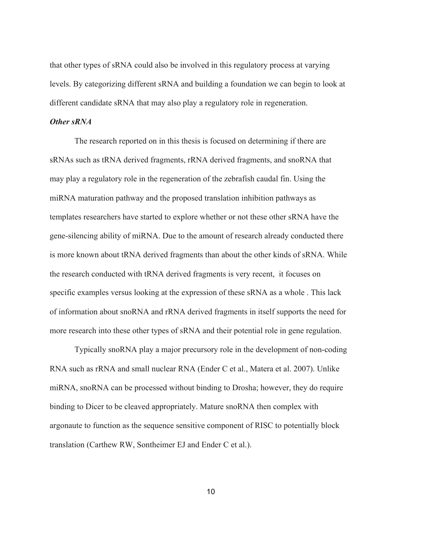that other types of sRNA could also be involved in this regulatory process at varying levels. By categorizing different sRNA and building a foundation we can begin to look at different candidate sRNA that may also play a regulatory role in regeneration.

#### *Other sRNA*

The research reported on in this thesis is focused on determining if there are sRNAs such as tRNA derived fragments, rRNA derived fragments, and snoRNA that may play a regulatory role in the regeneration of the zebrafish caudal fin. Using the miRNA maturation pathway and the proposed translation inhibition pathways as templates researchers have started to explore whether or not these other sRNA have the gene-silencing ability of miRNA. Due to the amount of research already conducted there is more known about tRNA derived fragments than about the other kinds of sRNA. While the research conducted with tRNA derived fragments is very recent, it focuses on specific examples versus looking at the expression of these sRNA as a whole . This lack of information about snoRNA and rRNA derived fragments in itself supports the need for more research into these other types of sRNA and their potential role in gene regulation.

Typically snoRNA play a major precursory role in the development of non-coding RNA such as rRNA and small nuclear RNA (Ender C et al., Matera et al. 2007). Unlike miRNA, snoRNA can be processed without binding to Drosha; however, they do require binding to Dicer to be cleaved appropriately. Mature snoRNA then complex with argonaute to function as the sequence sensitive component of RISC to potentially block translation (Carthew RW, Sontheimer EJ and Ender C et al.).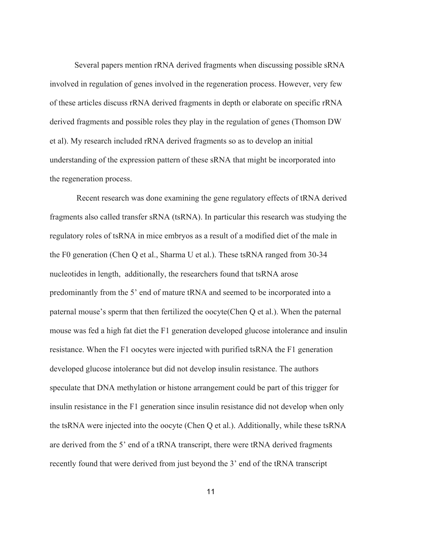Several papers mention rRNA derived fragments when discussing possible sRNA involved in regulation of genes involved in the regeneration process. However, very few of these articles discuss rRNA derived fragments in depth or elaborate on specific rRNA derived fragments and possible roles they play in the regulation of genes (Thomson DW et al). My research included rRNA derived fragments so as to develop an initial understanding of the expression pattern of these sRNA that might be incorporated into the regeneration process.

Recent research was done examining the gene regulatory effects of tRNA derived fragments also called transfer sRNA (tsRNA). In particular this research was studying the regulatory roles of tsRNA in mice embryos as a result of a modified diet of the male in the F0 generation (Chen Q et al., Sharma U et al.). These tsRNA ranged from 30-34 nucleotides in length, additionally, the researchers found that tsRNA arose predominantly from the 5' end of mature tRNA and seemed to be incorporated into a paternal mouse's sperm that then fertilized the oocyte(Chen Q et al.). When the paternal mouse was fed a high fat diet the F1 generation developed glucose intolerance and insulin resistance. When the F1 oocytes were injected with purified tsRNA the F1 generation developed glucose intolerance but did not develop insulin resistance. The authors speculate that DNA methylation or histone arrangement could be part of this trigger for insulin resistance in the F1 generation since insulin resistance did not develop when only the tsRNA were injected into the oocyte (Chen Q et al.). Additionally, while these tsRNA are derived from the 5' end of a tRNA transcript, there were tRNA derived fragments recently found that were derived from just beyond the 3' end of the tRNA transcript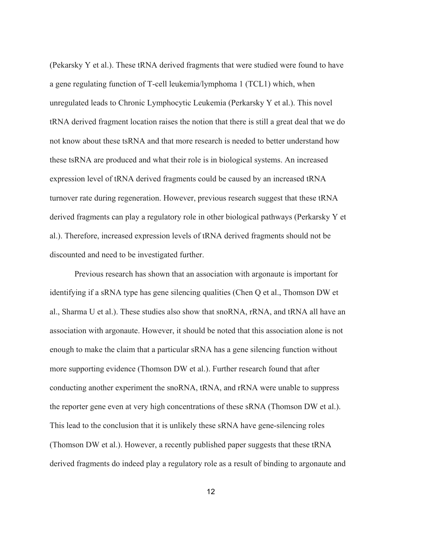(Pekarsky Y et al.). These tRNA derived fragments that were studied were found to have a gene regulating function of T-cell leukemia/lymphoma 1 (TCL1) which, when unregulated leads to Chronic Lymphocytic Leukemia (Perkarsky Y et al.). This novel tRNA derived fragment location raises the notion that there is still a great deal that we do not know about these tsRNA and that more research is needed to better understand how these tsRNA are produced and what their role is in biological systems. An increased expression level of tRNA derived fragments could be caused by an increased tRNA turnover rate during regeneration. However, previous research suggest that these tRNA derived fragments can play a regulatory role in other biological pathways (Perkarsky Y et al.). Therefore, increased expression levels of tRNA derived fragments should not be discounted and need to be investigated further.

Previous research has shown that an association with argonaute is important for identifying if a sRNA type has gene silencing qualities (Chen Q et al., Thomson DW et al., Sharma U et al.). These studies also show that snoRNA, rRNA, and tRNA all have an association with argonaute. However, it should be noted that this association alone is not enough to make the claim that a particular sRNA has a gene silencing function without more supporting evidence (Thomson DW et al.). Further research found that after conducting another experiment the snoRNA, tRNA, and rRNA were unable to suppress the reporter gene even at very high concentrations of these sRNA (Thomson DW et al.). This lead to the conclusion that it is unlikely these sRNA have gene-silencing roles (Thomson DW et al.). However, a recently published paper suggests that these tRNA derived fragments do indeed play a regulatory role as a result of binding to argonaute and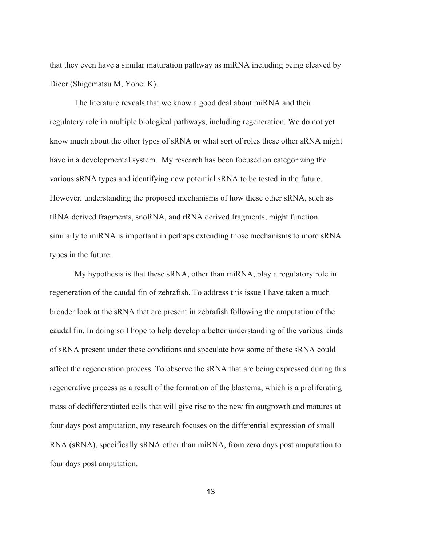that they even have a similar maturation pathway as miRNA including being cleaved by Dicer (Shigematsu M, Yohei K).

The literature reveals that we know a good deal about miRNA and their regulatory role in multiple biological pathways, including regeneration. We do not yet know much about the other types of sRNA or what sort of roles these other sRNA might have in a developmental system. My research has been focused on categorizing the various sRNA types and identifying new potential sRNA to be tested in the future. However, understanding the proposed mechanisms of how these other sRNA, such as tRNA derived fragments, snoRNA, and rRNA derived fragments, might function similarly to miRNA is important in perhaps extending those mechanisms to more sRNA types in the future.

My hypothesis is that these sRNA, other than miRNA, play a regulatory role in regeneration of the caudal fin of zebrafish. To address this issue I have taken a much broader look at the sRNA that are present in zebrafish following the amputation of the caudal fin. In doing so I hope to help develop a better understanding of the various kinds of sRNA present under these conditions and speculate how some of these sRNA could affect the regeneration process. To observe the sRNA that are being expressed during this regenerative process as a result of the formation of the blastema, which is a proliferating mass of dedifferentiated cells that will give rise to the new fin outgrowth and matures at four days post amputation, my research focuses on the differential expression of small RNA (sRNA), specifically sRNA other than miRNA, from zero days post amputation to four days post amputation.

13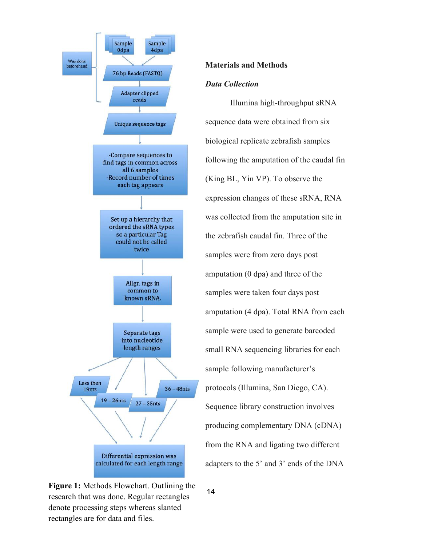

# **Materials and Methods**

# *Data Collection*

Illumina high-throughput sRNA sequence data were obtained from six biological replicate zebrafish samples following the amputation of the caudal fin (King BL, Yin VP). To observe the expression changes of these sRNA, RNA was collected from the amputation site in the zebrafish caudal fin. Three of the samples were from zero days post amputation (0 dpa) and three of the samples were taken four days post amputation (4 dpa). Total RNA from each sample were used to generate barcoded small RNA sequencing libraries for each sample following manufacturer's protocols (Illumina, San Diego, CA). Sequence library construction involves producing complementary DNA (cDNA) from the RNA and ligating two different adapters to the 5' and 3' ends of the DNA

**Figure 1:** Methods Flowchart. Outlining the research that was done. Regular rectangles denote processing steps whereas slanted rectangles are for data and files.

14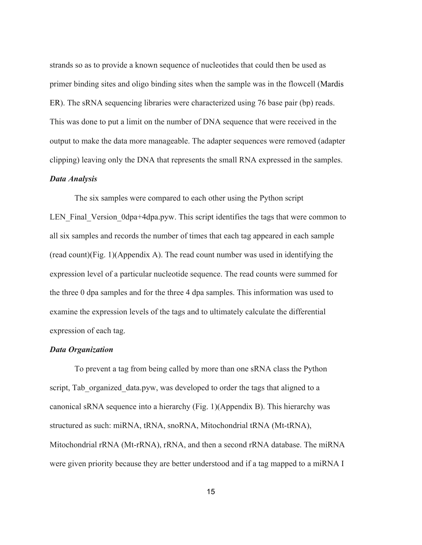strands so as to provide a known sequence of nucleotides that could then be used as primer binding sites and oligo binding sites when the sample was in the flowcell (Mardis ER). The sRNA sequencing libraries were characterized using 76 base pair (bp) reads. This was done to put a limit on the number of DNA sequence that were received in the output to make the data more manageable. The adapter sequences were removed (adapter clipping) leaving only the DNA that represents the small RNA expressed in the samples.

### *Data Analysis*

The six samples were compared to each other using the Python script LEN Final Version 0dpa+4dpa.pyw. This script identifies the tags that were common to all six samples and records the number of times that each tag appeared in each sample  $(\text{read count})(\text{Fig. 1})(\text{Appendix A})$ . The read count number was used in identifying the expression level of a particular nucleotide sequence. The read counts were summed for the three 0 dpa samples and for the three 4 dpa samples. This information was used to examine the expression levels of the tags and to ultimately calculate the differential expression of each tag.

#### *Data Organization*

 To prevent a tag from being called by more than one sRNA class the Python script, Tab organized data.pyw, was developed to order the tags that aligned to a canonical sRNA sequence into a hierarchy (Fig. 1)(Appendix B). This hierarchy was structured as such: miRNA, tRNA, snoRNA, Mitochondrial tRNA (Mt-tRNA), Mitochondrial rRNA (Mt-rRNA), rRNA, and then a second rRNA database. The miRNA were given priority because they are better understood and if a tag mapped to a miRNA I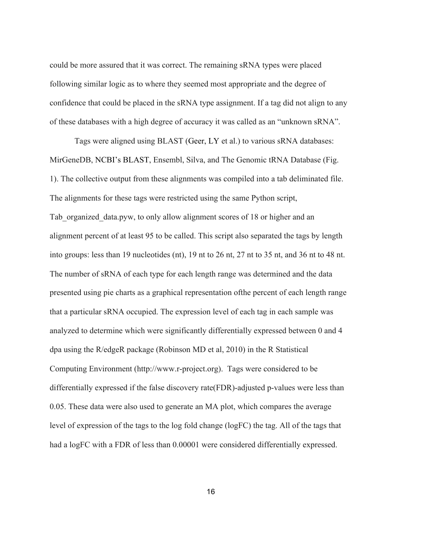could be more assured that it was correct. The remaining sRNA types were placed following similar logic as to where they seemed most appropriate and the degree of confidence that could be placed in the sRNA type assignment. If a tag did not align to any of these databases with a high degree of accuracy it was called as an "unknown sRNA".

Tags were aligned using BLAST (Geer, LY et al.) to various sRNA databases: MirGeneDB, NCBI's BLAST, Ensembl, Silva, and The Genomic tRNA Database (Fig. 1). The collective output from these alignments was compiled into a tab deliminated file. The alignments for these tags were restricted using the same Python script, Tab organized data.pyw, to only allow alignment scores of 18 or higher and an alignment percent of at least 95 to be called. This script also separated the tags by length into groups: less than 19 nucleotides (nt), 19 nt to 26 nt, 27 nt to 35 nt, and 36 nt to 48 nt. The number of sRNA of each type for each length range was determined and the data presented using pie charts as a graphical representation ofthe percent of each length range that a particular sRNA occupied. The expression level of each tag in each sample was analyzed to determine which were significantly differentially expressed between 0 and 4 dpa using the R/edgeR package (Robinson MD et al, 2010) in the R Statistical Computing Environment (http://www.r-project.org). Tags were considered to be differentially expressed if the false discovery rate(FDR)-adjusted p-values were less than 0.05. These data were also used to generate an MA plot, which compares the average level of expression of the tags to the log fold change (logFC) the tag. All of the tags that had a logFC with a FDR of less than 0.00001 were considered differentially expressed.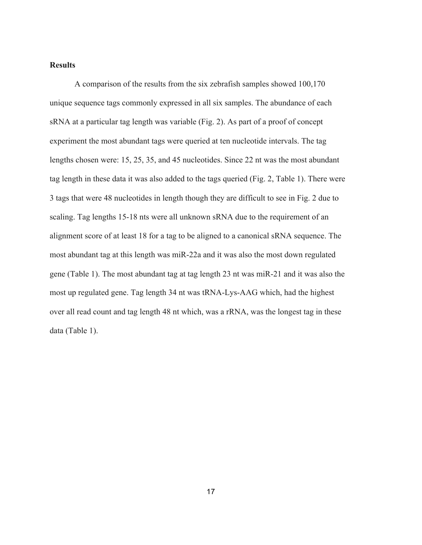# **Results**

A comparison of the results from the six zebrafish samples showed 100,170 unique sequence tags commonly expressed in all six samples. The abundance of each sRNA at a particular tag length was variable (Fig. 2). As part of a proof of concept experiment the most abundant tags were queried at ten nucleotide intervals. The tag lengths chosen were: 15, 25, 35, and 45 nucleotides. Since 22 nt was the most abundant tag length in these data it was also added to the tags queried (Fig. 2, Table 1). There were 3 tags that were 48 nucleotides in length though they are difficult to see in Fig. 2 due to scaling. Tag lengths 15-18 nts were all unknown sRNA due to the requirement of an alignment score of at least 18 for a tag to be aligned to a canonical sRNA sequence. The most abundant tag at this length was miR-22a and it was also the most down regulated gene (Table 1). The most abundant tag at tag length 23 nt was miR-21 and it was also the most up regulated gene. Tag length 34 nt was tRNA-Lys-AAG which, had the highest over all read count and tag length 48 nt which, was a rRNA, was the longest tag in these data (Table 1).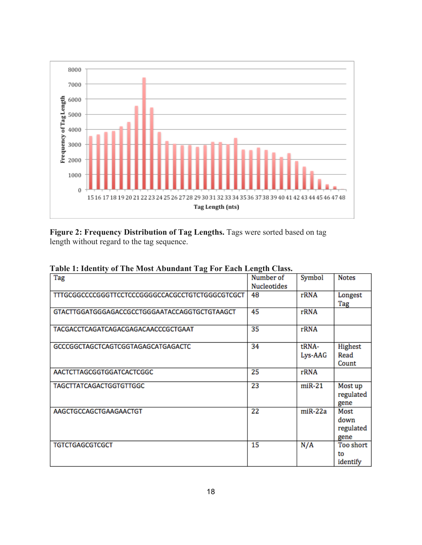

**Figure 2: Frequency Distribution of Tag Lengths.** Tags were sorted based on tag length without regard to the tag sequence.

| Tag                                              | Number of   | Symbol         | <b>Notes</b> |
|--------------------------------------------------|-------------|----------------|--------------|
|                                                  | Nucleotides |                |              |
| TTTGCGGCCCCGGGTTCCTCCCGGGGCCACGCCTGTCTGGGCGTCGCT | 48          | rRNA           | Longest      |
|                                                  |             |                | Tag          |
| GTACTTGGATGGGAGACCGCCTGGGAATACCAGGTGCTGTAAGCT    | 45          | rRNA           |              |
| TACGACCTCAGATCAGACGAGACAACCCGCTGAAT              | 35          | rRNA           |              |
| GCCCGGCTAGCTCAGTCGGTAGAGCATGAGACTC               | 34          | tRNA-          | Highest      |
|                                                  |             | Lys-AAG        | Read         |
|                                                  |             |                | Count        |
| AACTCTTAGCGGTGGATCACTCGGC                        | 25          | rRNA           |              |
| <b>TAGCTTATCAGACTGGTGTTGGC</b>                   | 23          | $m$ i $R-21$   | Most up      |
|                                                  |             |                | regulated    |
|                                                  |             |                | gene         |
| AAGCTGCCAGCTGAAGAACTGT                           | 22          | $m$ i $R$ -22a | Most         |
|                                                  |             |                | down         |
|                                                  |             |                | regulated    |
|                                                  |             |                | gene         |
| <b>TGTCTGAGCGTCGCT</b>                           | 15          | N/A            | Too short    |
|                                                  |             |                | to           |
|                                                  |             |                | identify     |

**Table 1: Identity of The Most Abundant Tag For Each Length Class.**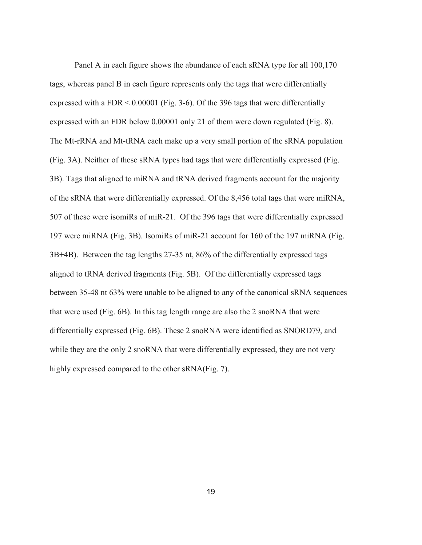Panel A in each figure shows the abundance of each sRNA type for all 100,170 tags, whereas panel B in each figure represents only the tags that were differentially expressed with a FDR < 0.00001 (Fig. 3-6). Of the 396 tags that were differentially expressed with an FDR below 0.00001 only 21 of them were down regulated (Fig. 8). The Mt-rRNA and Mt-tRNA each make up a very small portion of the sRNA population (Fig. 3A). Neither of these sRNA types had tags that were differentially expressed (Fig. 3B). Tags that aligned to miRNA and tRNA derived fragments account for the majority of the sRNA that were differentially expressed. Of the 8,456 total tags that were miRNA, 507 of these were isomiRs of miR-21. Of the 396 tags that were differentially expressed 197 were miRNA (Fig. 3B). IsomiRs of miR-21 account for 160 of the 197 miRNA (Fig. 3B+4B). Between the tag lengths 27-35 nt, 86% of the differentially expressed tags aligned to tRNA derived fragments (Fig. 5B). Of the differentially expressed tags between 35-48 nt 63% were unable to be aligned to any of the canonical sRNA sequences that were used (Fig. 6B). In this tag length range are also the 2 snoRNA that were differentially expressed (Fig. 6B). These 2 snoRNA were identified as SNORD79, and while they are the only 2 snoRNA that were differentially expressed, they are not very highly expressed compared to the other sRNA(Fig. 7).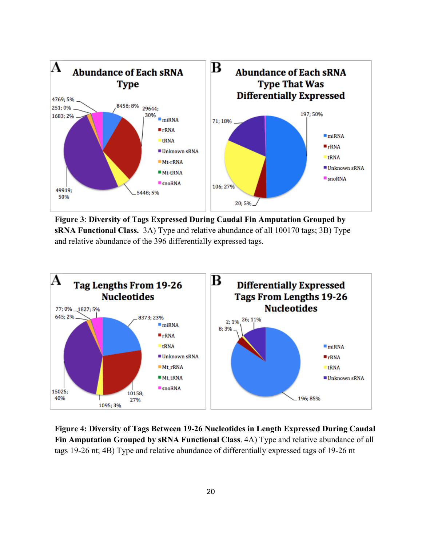

**Figure 3**: **Diversity of Tags Expressed During Caudal Fin Amputation Grouped by sRNA Functional Class.** 3A) Type and relative abundance of all 100170 tags; 3B) Type and relative abundance of the 396 differentially expressed tags.



**Figure 4: Diversity of Tags Between 19-26 Nucleotides in Length Expressed During Caudal Fin Amputation Grouped by sRNA Functional Class**. 4A) Type and relative abundance of all tags 19-26 nt; 4B) Type and relative abundance of differentially expressed tags of 19-26 nt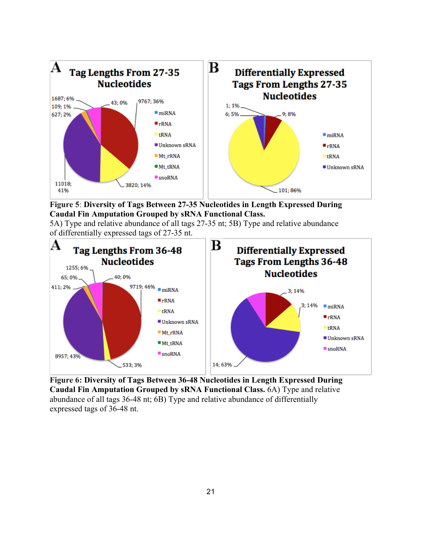

**Figure 5**: **Diversity of Tags Between 27-35 Nucleotides in Length Expressed During Caudal Fin Amputation Grouped by sRNA Functional Class.**

5A) Type and relative abundance of all tags 27-35 nt; 5B) Type and relative abundance of differentially expressed tags of 27-35 nt.



**Figure 6: Diversity of Tags Between 36-48 Nucleotides in Length Expressed During Caudal Fin Amputation Grouped by sRNA Functional Class.** 6A) Type and relative abundance of all tags 36-48 nt; 6B) Type and relative abundance of differentially expressed tags of 36-48 nt.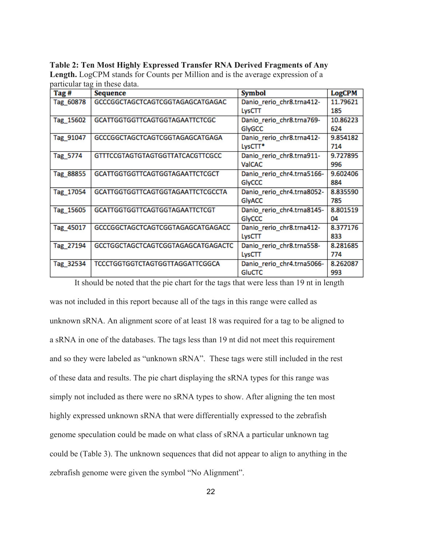**Table 2: Ten Most Highly Expressed Transfer RNA Derived Fragments of Any Length.** LogCPM stands for Counts per Million and is the average expression of a particular tag in these data.

| Tag #     | <b>Sequence</b>                          | Symbol                     | <b>LogCPM</b> |
|-----------|------------------------------------------|----------------------------|---------------|
| Tag_60878 | GCCCGGCTAGCTCAGTCGGTAGAGCATGAGAC         | Danio_rerio_chr8.trna412-  | 11.79621      |
|           |                                          | LysCTT                     | 185           |
| Tag_15602 | <b>GCATTGGTGGTTCAGTGGTAGAATTCTCGC</b>    | Danio_rerio_chr8.trna769-  | 10.86223      |
|           |                                          | GlyGCC                     | 624           |
| Tag_91047 | GCCCGGCTAGCTCAGTCGGTAGAGCATGAGA          | Danio_rerio_chr8.trna412-  | 9.854182      |
|           |                                          | LysCTT*                    | 714           |
| Tag 5774  | GTTTCCGTAGTGTAGTGGTTATCACGTTCGCC         | Danio_rerio_chr8.trna911-  | 9.727895      |
|           |                                          | ValCAC                     | 996           |
| Tag 88855 | <b>GCATTGGTGGTTCAGTGGTAGAATTCTCGCT</b>   | Danio_rerio_chr4.trna5166- | 9.602406      |
|           |                                          | GlyCCC                     | 884           |
| Tag_17054 | <b>GCATTGGTGGTTCAGTGGTAGAATTCTCGCCTA</b> | Danio_rerio_chr4.trna8052- | 8.835590      |
|           |                                          | GlyACC                     | 785           |
| Tag_15605 | <b>GCATTGGTGGTTCAGTGGTAGAATTCTCGT</b>    | Danio_rerio_chr4.trna8145- | 8.801519      |
|           |                                          | GlyCCC                     | 04            |
| Tag_45017 | GCCCGGCTAGCTCAGTCGGTAGAGCATGAGACC        | Danio_rerio_chr8.trna412-  | 8.377176      |
|           |                                          | LysCTT                     | 833           |
| Tag 27194 | GCCTGGCTAGCTCAGTCGGTAGAGCATGAGACTC       | Danio_rerio_chr8.trna558-  | 8.281685      |
|           |                                          | LysCTT                     | 774           |
| Tag_32534 | <b>TCCCTGGTGGTCTAGTGGTTAGGATTCGGCA</b>   | Danio_rerio_chr4.trna5066- | 8.262087      |
|           |                                          | <b>GluCTC</b>              | 993           |

It should be noted that the pie chart for the tags that were less than 19 nt in length was not included in this report because all of the tags in this range were called as unknown sRNA. An alignment score of at least 18 was required for a tag to be aligned to a sRNA in one of the databases. The tags less than 19 nt did not meet this requirement and so they were labeled as "unknown sRNA". These tags were still included in the rest of these data and results. The pie chart displaying the sRNA types for this range was simply not included as there were no sRNA types to show. After aligning the ten most highly expressed unknown sRNA that were differentially expressed to the zebrafish genome speculation could be made on what class of sRNA a particular unknown tag could be (Table 3). The unknown sequences that did not appear to align to anything in the zebrafish genome were given the symbol "No Alignment".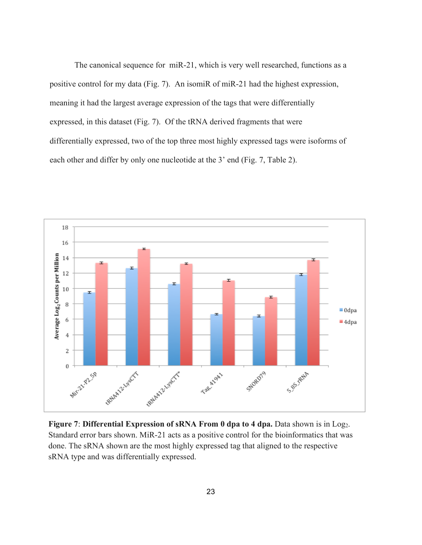The canonical sequence for miR-21, which is very well researched, functions as a positive control for my data (Fig. 7). An isomiR of miR-21 had the highest expression, meaning it had the largest average expression of the tags that were differentially expressed, in this dataset (Fig. 7). Of the tRNA derived fragments that were differentially expressed, two of the top three most highly expressed tags were isoforms of each other and differ by only one nucleotide at the 3' end (Fig. 7, Table 2).



**Figure 7: Differential Expression of sRNA From 0 dpa to 4 dpa.** Data shown is in Log<sub>2</sub>. Standard error bars shown. MiR-21 acts as a positive control for the bioinformatics that was done. The sRNA shown are the most highly expressed tag that aligned to the respective sRNA type and was differentially expressed.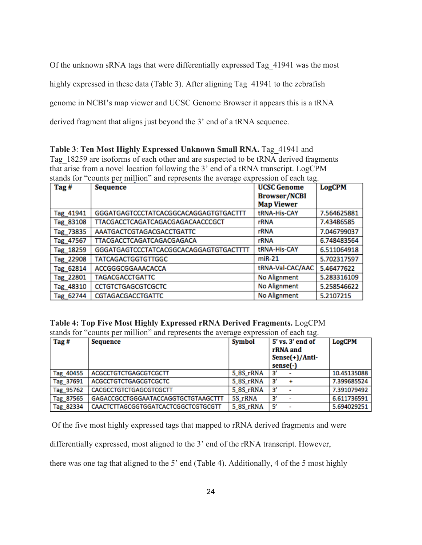Of the unknown sRNA tags that were differentially expressed Tag\_41941 was the most

highly expressed in these data (Table 3). After aligning Tag\_41941 to the zebrafish

genome in NCBI's map viewer and UCSC Genome Browser it appears this is a tRNA

derived fragment that aligns just beyond the 3' end of a tRNA sequence.

**Table 3**: **Ten Most Highly Expressed Unknown Small RNA.** Tag\_41941 and Tag\_18259 are isoforms of each other and are suspected to be tRNA derived fragments that arise from a novel location following the 3' end of a tRNA transcript. LogCPM stands for "counts per million" and represents the average expression of each tag.

| Tag#      | <b>Sequence</b>                        | <b>UCSC Genome</b>  | <b>LogCPM</b> |
|-----------|----------------------------------------|---------------------|---------------|
|           |                                        | <b>Browser/NCBI</b> |               |
|           |                                        | <b>Map Viewer</b>   |               |
| Tag_41941 | GGGATGAGTCCCTATCACGGCACAGGAGTGTGACTTT  | tRNA-His-CAY        | 7.564625881   |
| Tag 83108 | TTACGACCTCAGATCAGACGAGACAACCCGCT       | rRNA                | 7.43486585    |
| Tag 73835 | AAATGACTCGTAGACGACCTGATTC              | rRNA                | 7.046799037   |
| Tag_47567 | TTACGACCTCAGATCAGACGAGACA              | <b>rRNA</b>         | 6.748483564   |
| Tag 18259 | GGGATGAGTCCCTATCACGGCACAGGAGTGTGACTTTT | tRNA-His-CAY        | 6.511064918   |
| Tag 22908 | <b>TATCAGACTGGTGTTGGC</b>              | $miR-21$            | 5.702317597   |
| Tag 62814 | ACCGGGCGGAAACACCA                      | tRNA-Val-CAC/AAC    | 5.46477622    |
| Tag 22801 | <b>TAGACGACCTGATTC</b>                 | No Alignment        | 5.283316109   |
| Tag_48310 | <b>CCTGTCTGAGCGTCGCTC</b>              | No Alignment        | 5.258546622   |
| Tag_62744 | <b>CGTAGACGACCTGATTC</b>               | No Alignment        | 5.2107215     |

# **Table 4: Top Five Most Highly Expressed rRNA Derived Fragments.** LogCPM

stands for "counts per million" and represents the average expression of each tag.

| Tag#      | Sequence                            | <b>Symbol</b> | 5' vs. 3' end of<br>rRNA and<br>$Sense(+) / Anti$<br>sense(-) | LogCPM      |
|-----------|-------------------------------------|---------------|---------------------------------------------------------------|-------------|
| Tag_40455 | <b>ACGCCTGTCTGAGCGTCGCTT</b>        | 5 8S rRNA     | з                                                             | 10.45135088 |
| Tag 37691 | <b>ACGCCTGTCTGAGCGTCGCTC</b>        | 5 8S rRNA     | з                                                             | 7.399685524 |
| Tag 95762 | CACGCCTGTCTGAGCGTCGCTT              | 5_8S_rRNA     | з                                                             | 7.391079492 |
| Tag 87565 | GAGACCGCCTGGGAATACCAGGTGCTGTAAGCTTT | 5S_rRNA       | з                                                             | 6.611736591 |
| Tag 82334 | CAACTCTTAGCGGTGGATCACTCGGCTCGTGCGTT | 5 8S rRNA     | -51                                                           | 5.694029251 |

Of the five most highly expressed tags that mapped to rRNA derived fragments and were

differentially expressed, most aligned to the 3' end of the rRNA transcript. However,

there was one tag that aligned to the 5' end (Table 4). Additionally, 4 of the 5 most highly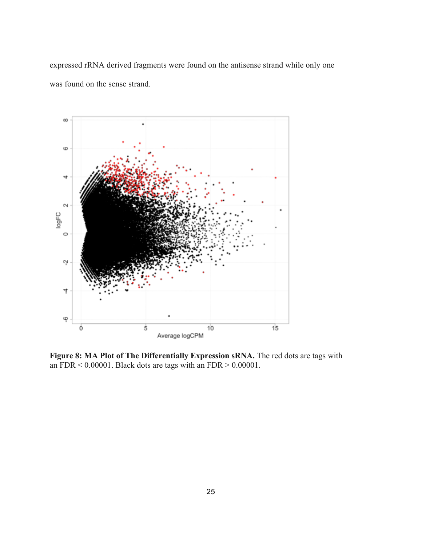expressed rRNA derived fragments were found on the antisense strand while only one was found on the sense strand.



**Figure 8: MA Plot of The Differentially Expression sRNA.** The red dots are tags with an  $FDR < 0.00001$ . Black dots are tags with an  $FDR > 0.00001$ .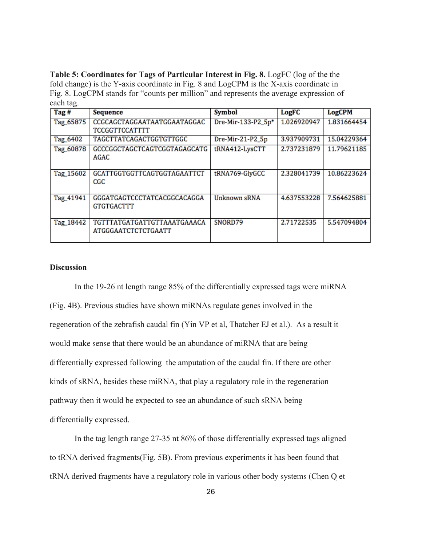**Table 5: Coordinates for Tags of Particular Interest in Fig. 8.** LogFC (log of the the fold change) is the Y-axis coordinate in Fig. 8 and LogCPM is the X-axis coordinate in Fig. 8. LogCPM stands for "counts per million" and represents the average expression of each tag.

| Tag #     | <b>Sequence</b>                                    | <b>Symbol</b>      | LogFC       | <b>LogCPM</b> |
|-----------|----------------------------------------------------|--------------------|-------------|---------------|
| Tag_65875 | CCGCAGCTAGGAATAATGGAATAGGAC                        | Dre-Mir-133-P2_5p* | 1.026920947 | 1.831664454   |
|           | <b>TCCGGTTCCATTTT</b>                              |                    |             |               |
| Tag_6402  | TAGCTTATCAGACTGGTGTTGGC                            | Dre-Mir-21-P2_5p   | 3.937909731 | 15.04229364   |
| Tag_60878 | GCCCGGCTAGCTCAGTCGGTAGAGCATG<br>AGAC               | tRNA412-LysCTT     | 2.737231879 | 11.79621185   |
| Tag_15602 | GCATTGGTGGTTCAGTGGTAGAATTCT<br>$_{\rm CGC}$        | tRNA769-GlyGCC     | 2.328041739 | 10.86223624   |
| Tag_41941 | GGGATGAGTCCCTATCACGGCACAGGA<br><b>GTGTGACTTT</b>   | Unknown sRNA       | 4.637553228 | 7.564625881   |
| Tag_18442 | TGTTTATGATGATTGTTAAATGAAACA<br>ATGGGAATCTCTCTGAATT | SNORD79            | 2.71722535  | 5.547094804   |

## **Discussion**

In the 19-26 nt length range 85% of the differentially expressed tags were miRNA (Fig. 4B). Previous studies have shown miRNAs regulate genes involved in the regeneration of the zebrafish caudal fin (Yin VP et al, Thatcher EJ et al.). As a result it would make sense that there would be an abundance of miRNA that are being differentially expressed following the amputation of the caudal fin. If there are other kinds of sRNA, besides these miRNA, that play a regulatory role in the regeneration pathway then it would be expected to see an abundance of such sRNA being differentially expressed.

In the tag length range 27-35 nt 86% of those differentially expressed tags aligned to tRNA derived fragments(Fig. 5B). From previous experiments it has been found that tRNA derived fragments have a regulatory role in various other body systems (Chen Q et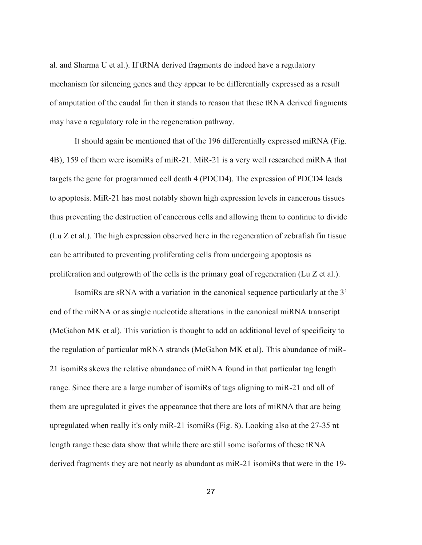al. and Sharma U et al.). If tRNA derived fragments do indeed have a regulatory mechanism for silencing genes and they appear to be differentially expressed as a result of amputation of the caudal fin then it stands to reason that these tRNA derived fragments may have a regulatory role in the regeneration pathway.

It should again be mentioned that of the 196 differentially expressed miRNA (Fig. 4B), 159 of them were isomiRs of miR-21. MiR-21 is a very well researched miRNA that targets the gene for programmed cell death 4 (PDCD4). The expression of PDCD4 leads to apoptosis. MiR-21 has most notably shown high expression levels in cancerous tissues thus preventing the destruction of cancerous cells and allowing them to continue to divide (Lu Z et al.). The high expression observed here in the regeneration of zebrafish fin tissue can be attributed to preventing proliferating cells from undergoing apoptosis as proliferation and outgrowth of the cells is the primary goal of regeneration (Lu Z et al.).

IsomiRs are sRNA with a variation in the canonical sequence particularly at the 3' end of the miRNA or as single nucleotide alterations in the canonical miRNA transcript (McGahon MK et al). This variation is thought to add an additional level of specificity to the regulation of particular mRNA strands (McGahon MK et al). This abundance of miR-21 isomiRs skews the relative abundance of miRNA found in that particular tag length range. Since there are a large number of isomiRs of tags aligning to miR-21 and all of them are upregulated it gives the appearance that there are lots of miRNA that are being upregulated when really it's only miR-21 isomiRs (Fig. 8). Looking also at the 27-35 nt length range these data show that while there are still some isoforms of these tRNA derived fragments they are not nearly as abundant as miR-21 isomiRs that were in the 19-

27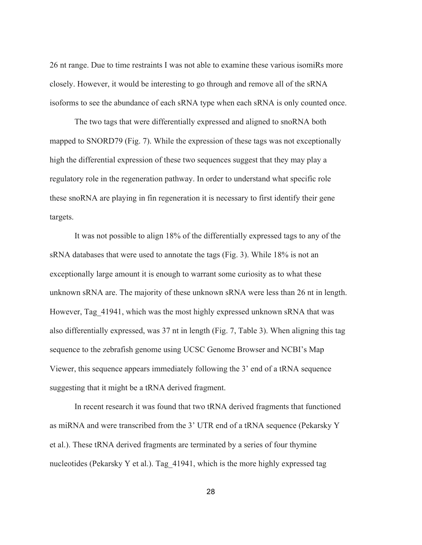26 nt range. Due to time restraints I was not able to examine these various isomiRs more closely. However, it would be interesting to go through and remove all of the sRNA isoforms to see the abundance of each sRNA type when each sRNA is only counted once.

The two tags that were differentially expressed and aligned to snoRNA both mapped to SNORD79 (Fig. 7). While the expression of these tags was not exceptionally high the differential expression of these two sequences suggest that they may play a regulatory role in the regeneration pathway. In order to understand what specific role these snoRNA are playing in fin regeneration it is necessary to first identify their gene targets.

It was not possible to align 18% of the differentially expressed tags to any of the sRNA databases that were used to annotate the tags (Fig. 3). While 18% is not an exceptionally large amount it is enough to warrant some curiosity as to what these unknown sRNA are. The majority of these unknown sRNA were less than 26 nt in length. However, Tag\_41941, which was the most highly expressed unknown sRNA that was also differentially expressed, was 37 nt in length (Fig. 7, Table 3). When aligning this tag sequence to the zebrafish genome using UCSC Genome Browser and NCBI's Map Viewer, this sequence appears immediately following the 3' end of a tRNA sequence suggesting that it might be a tRNA derived fragment.

In recent research it was found that two tRNA derived fragments that functioned as miRNA and were transcribed from the 3' UTR end of a tRNA sequence (Pekarsky Y et al.). These tRNA derived fragments are terminated by a series of four thymine nucleotides (Pekarsky Y et al.). Tag\_41941, which is the more highly expressed tag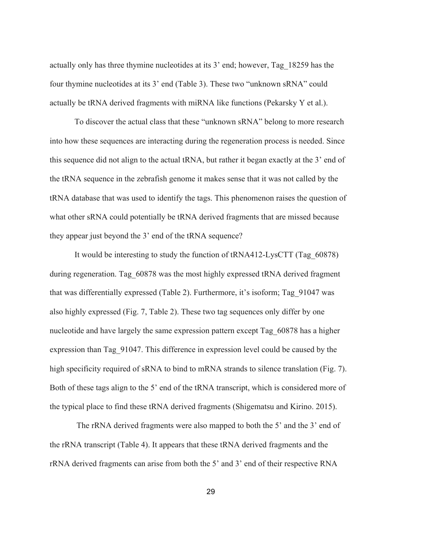actually only has three thymine nucleotides at its 3' end; however, Tag\_18259 has the four thymine nucleotides at its 3' end (Table 3). These two "unknown sRNA" could actually be tRNA derived fragments with miRNA like functions (Pekarsky Y et al.).

To discover the actual class that these "unknown sRNA" belong to more research into how these sequences are interacting during the regeneration process is needed. Since this sequence did not align to the actual tRNA, but rather it began exactly at the 3' end of the tRNA sequence in the zebrafish genome it makes sense that it was not called by the tRNA database that was used to identify the tags. This phenomenon raises the question of what other sRNA could potentially be tRNA derived fragments that are missed because they appear just beyond the 3' end of the tRNA sequence?

It would be interesting to study the function of tRNA412-LysCTT (Tag\_60878) during regeneration. Tag\_60878 was the most highly expressed tRNA derived fragment that was differentially expressed (Table 2). Furthermore, it's isoform; Tag\_91047 was also highly expressed (Fig. 7, Table 2). These two tag sequences only differ by one nucleotide and have largely the same expression pattern except Tag\_60878 has a higher expression than Tag\_91047. This difference in expression level could be caused by the high specificity required of sRNA to bind to mRNA strands to silence translation (Fig. 7). Both of these tags align to the 5' end of the tRNA transcript, which is considered more of the typical place to find these tRNA derived fragments (Shigematsu and Kirino. 2015).

The rRNA derived fragments were also mapped to both the 5' and the 3' end of the rRNA transcript (Table 4). It appears that these tRNA derived fragments and the rRNA derived fragments can arise from both the 5' and 3' end of their respective RNA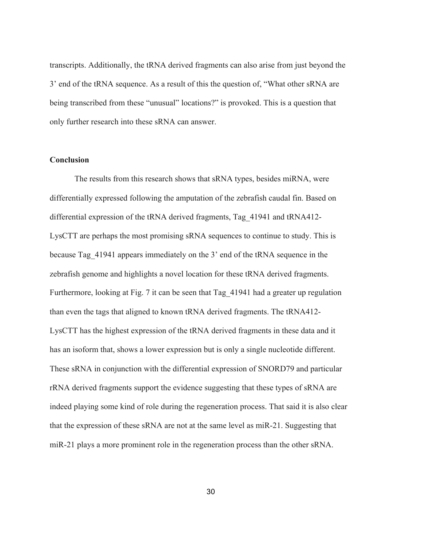transcripts. Additionally, the tRNA derived fragments can also arise from just beyond the 3' end of the tRNA sequence. As a result of this the question of, "What other sRNA are being transcribed from these "unusual" locations?" is provoked. This is a question that only further research into these sRNA can answer.

#### **Conclusion**

The results from this research shows that sRNA types, besides miRNA, were differentially expressed following the amputation of the zebrafish caudal fin. Based on differential expression of the tRNA derived fragments, Tag\_41941 and tRNA412- LysCTT are perhaps the most promising sRNA sequences to continue to study. This is because Tag\_41941 appears immediately on the 3' end of the tRNA sequence in the zebrafish genome and highlights a novel location for these tRNA derived fragments. Furthermore, looking at Fig. 7 it can be seen that Tag\_41941 had a greater up regulation than even the tags that aligned to known tRNA derived fragments. The tRNA412- LysCTT has the highest expression of the tRNA derived fragments in these data and it has an isoform that, shows a lower expression but is only a single nucleotide different. These sRNA in conjunction with the differential expression of SNORD79 and particular rRNA derived fragments support the evidence suggesting that these types of sRNA are indeed playing some kind of role during the regeneration process. That said it is also clear that the expression of these sRNA are not at the same level as miR-21. Suggesting that miR-21 plays a more prominent role in the regeneration process than the other sRNA.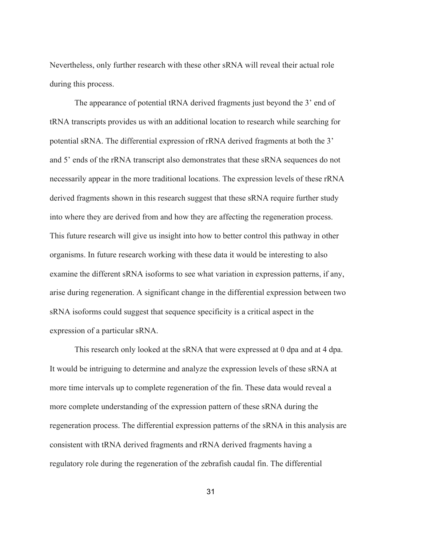Nevertheless, only further research with these other sRNA will reveal their actual role during this process.

The appearance of potential tRNA derived fragments just beyond the 3' end of tRNA transcripts provides us with an additional location to research while searching for potential sRNA. The differential expression of rRNA derived fragments at both the 3' and 5' ends of the rRNA transcript also demonstrates that these sRNA sequences do not necessarily appear in the more traditional locations. The expression levels of these rRNA derived fragments shown in this research suggest that these sRNA require further study into where they are derived from and how they are affecting the regeneration process. This future research will give us insight into how to better control this pathway in other organisms. In future research working with these data it would be interesting to also examine the different sRNA isoforms to see what variation in expression patterns, if any, arise during regeneration. A significant change in the differential expression between two sRNA isoforms could suggest that sequence specificity is a critical aspect in the expression of a particular sRNA.

This research only looked at the sRNA that were expressed at 0 dpa and at 4 dpa. It would be intriguing to determine and analyze the expression levels of these sRNA at more time intervals up to complete regeneration of the fin. These data would reveal a more complete understanding of the expression pattern of these sRNA during the regeneration process. The differential expression patterns of the sRNA in this analysis are consistent with tRNA derived fragments and rRNA derived fragments having a regulatory role during the regeneration of the zebrafish caudal fin. The differential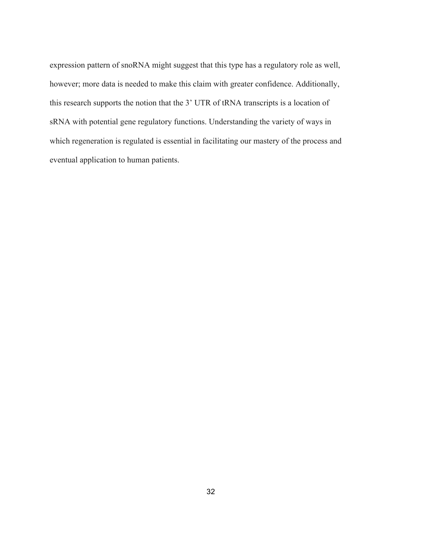expression pattern of snoRNA might suggest that this type has a regulatory role as well, however; more data is needed to make this claim with greater confidence. Additionally, this research supports the notion that the 3' UTR of tRNA transcripts is a location of sRNA with potential gene regulatory functions. Understanding the variety of ways in which regeneration is regulated is essential in facilitating our mastery of the process and eventual application to human patients.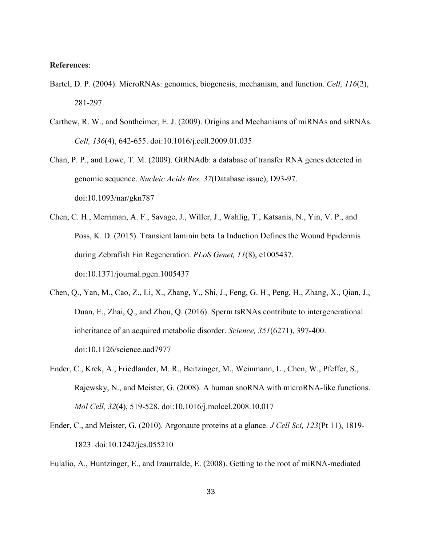# **References**:

- Bartel, D. P. (2004). MicroRNAs: genomics, biogenesis, mechanism, and function. *Cell, 116*(2), 281-297.
- Carthew, R. W., and Sontheimer, E. J. (2009). Origins and Mechanisms of miRNAs and siRNAs. *Cell, 136*(4), 642-655. doi:10.1016/j.cell.2009.01.035
- Chan, P. P., and Lowe, T. M. (2009). GtRNAdb: a database of transfer RNA genes detected in genomic sequence. *Nucleic Acids Res, 37*(Database issue), D93-97. doi:10.1093/nar/gkn787
- Chen, C. H., Merriman, A. F., Savage, J., Willer, J., Wahlig, T., Katsanis, N., Yin, V. P., and Poss, K. D. (2015). Transient laminin beta 1a Induction Defines the Wound Epidermis during Zebrafish Fin Regeneration. *PLoS Genet, 11*(8), e1005437. doi:10.1371/journal.pgen.1005437
- Chen, Q., Yan, M., Cao, Z., Li, X., Zhang, Y., Shi, J., Feng, G. H., Peng, H., Zhang, X., Qian, J., Duan, E., Zhai, Q., and Zhou, Q. (2016). Sperm tsRNAs contribute to intergenerational inheritance of an acquired metabolic disorder. *Science, 351*(6271), 397-400. doi:10.1126/science.aad7977
- Ender, C., Krek, A., Friedlander, M. R., Beitzinger, M., Weinmann, L., Chen, W., Pfeffer, S., Rajewsky, N., and Meister, G. (2008). A human snoRNA with microRNA-like functions. *Mol Cell, 32*(4), 519-528. doi:10.1016/j.molcel.2008.10.017
- Ender, C., and Meister, G. (2010). Argonaute proteins at a glance. *J Cell Sci, 123*(Pt 11), 1819- 1823. doi:10.1242/jcs.055210
- Eulalio, A., Huntzinger, E., and Izaurralde, E. (2008). Getting to the root of miRNA-mediated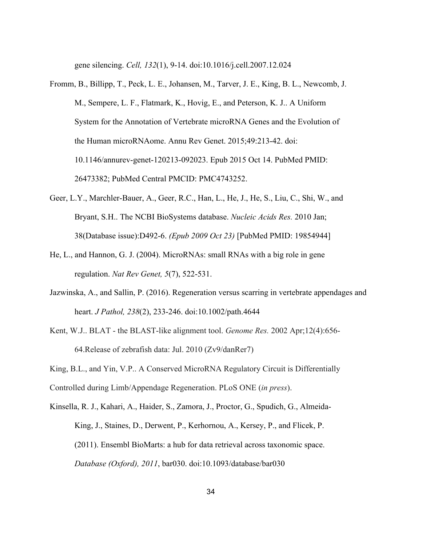gene silencing. *Cell, 132*(1), 9-14. doi:10.1016/j.cell.2007.12.024

- Fromm, B., Billipp, T., Peck, L. E., Johansen, M., Tarver, J. E., King, B. L., Newcomb, J. M., Sempere, L. F., Flatmark, K., Hovig, E., and Peterson, K. J.. A Uniform System for the Annotation of Vertebrate microRNA Genes and the Evolution of the Human microRNAome. Annu Rev Genet. 2015;49:213-42. doi: 10.1146/annurev-genet-120213-092023. Epub 2015 Oct 14. PubMed PMID: 26473382; PubMed Central PMCID: PMC4743252.
- Geer, L.Y., Marchler-Bauer, A., Geer, R.C., Han, L., He, J., He, S., Liu, C., Shi, W., and Bryant, S.H.. The NCBI BioSystems database. *Nucleic Acids Res.* 2010 Jan; 38(Database issue):D492-6. *(Epub 2009 Oct 23)* [PubMed PMID: 19854944]
- He, L., and Hannon, G. J. (2004). MicroRNAs: small RNAs with a big role in gene regulation. *Nat Rev Genet, 5*(7), 522-531.
- Jazwinska, A., and Sallin, P. (2016). Regeneration versus scarring in vertebrate appendages and heart. *J Pathol, 238*(2), 233-246. doi:10.1002/path.4644
- Kent, W.J.. BLAT the BLAST-like alignment tool. *Genome Res.* 2002 Apr;12(4):656- 64.Release of zebrafish data: Jul. 2010 (Zv9/danRer7)

King, B.L., and Yin, V.P.. A Conserved MicroRNA Regulatory Circuit is Differentially

Controlled during Limb/Appendage Regeneration. PLoS ONE (*in press*).

Kinsella, R. J., Kahari, A., Haider, S., Zamora, J., Proctor, G., Spudich, G., Almeida-King, J., Staines, D., Derwent, P., Kerhornou, A., Kersey, P., and Flicek, P. (2011). Ensembl BioMarts: a hub for data retrieval across taxonomic space. *Database (Oxford), 2011*, bar030. doi:10.1093/database/bar030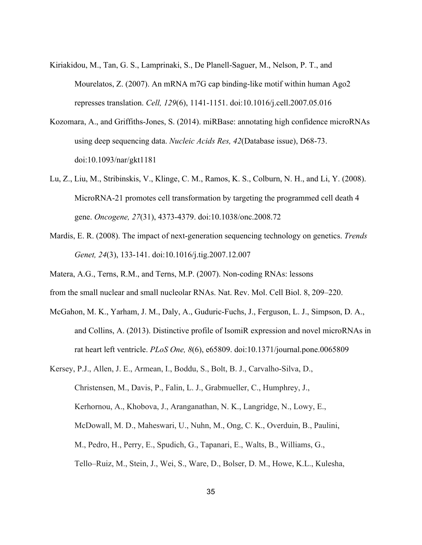- Kiriakidou, M., Tan, G. S., Lamprinaki, S., De Planell-Saguer, M., Nelson, P. T., and Mourelatos, Z. (2007). An mRNA m7G cap binding-like motif within human Ago2 represses translation. *Cell, 129*(6), 1141-1151. doi:10.1016/j.cell.2007.05.016
- Kozomara, A., and Griffiths-Jones, S. (2014). miRBase: annotating high confidence microRNAs using deep sequencing data. *Nucleic Acids Res, 42*(Database issue), D68-73. doi:10.1093/nar/gkt1181
- Lu, Z., Liu, M., Stribinskis, V., Klinge, C. M., Ramos, K. S., Colburn, N. H., and Li, Y. (2008). MicroRNA-21 promotes cell transformation by targeting the programmed cell death 4 gene. *Oncogene, 27*(31), 4373-4379. doi:10.1038/onc.2008.72
- Mardis, E. R. (2008). The impact of next-generation sequencing technology on genetics. *Trends Genet, 24*(3), 133-141. doi:10.1016/j.tig.2007.12.007
- Matera, A.G., Terns, R.M., and Terns, M.P. (2007). Non-coding RNAs: lessons
- from the small nuclear and small nucleolar RNAs. Nat. Rev. Mol. Cell Biol. 8, 209–220.
- McGahon, M. K., Yarham, J. M., Daly, A., Guduric-Fuchs, J., Ferguson, L. J., Simpson, D. A., and Collins, A. (2013). Distinctive profile of IsomiR expression and novel microRNAs in rat heart left ventricle. *PLoS One, 8*(6), e65809. doi:10.1371/journal.pone.0065809
- Kersey, P.J., Allen, J. E., Armean, I., Boddu, S., Bolt, B. J., Carvalho-Silva, D., Christensen, M., Davis, P., Falin, L. J., Grabmueller, C., Humphrey, J., Kerhornou, A., Khobova, J., Aranganathan, N. K., Langridge, N., Lowy, E., McDowall, M. D., Maheswari, U., Nuhn, M., Ong, C. K., Overduin, B., Paulini, M., Pedro, H., Perry, E., Spudich, G., Tapanari, E., Walts, B., Williams, G., Tello–Ruiz, M., Stein, J., Wei, S., Ware, D., Bolser, D. M., Howe, K.L., Kulesha,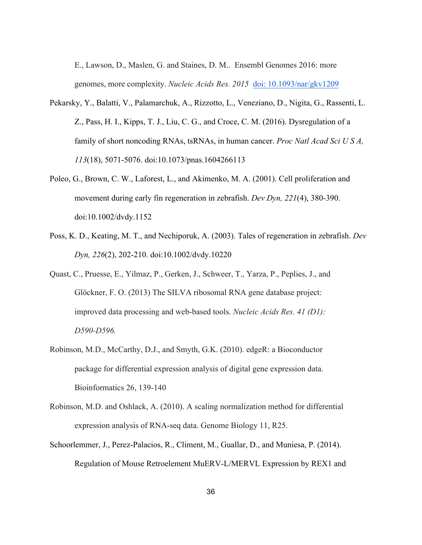E., Lawson, D., Maslen, G. and Staines, D. M.. Ensembl Genomes 2016: more genomes, more complexity. *Nucleic Acids Res. 2015* doi: 10.1093/nar/gkv1209

- Pekarsky, Y., Balatti, V., Palamarchuk, A., Rizzotto, L., Veneziano, D., Nigita, G., Rassenti, L. Z., Pass, H. I., Kipps, T. J., Liu, C. G., and Croce, C. M. (2016). Dysregulation of a family of short noncoding RNAs, tsRNAs, in human cancer. *Proc Natl Acad Sci U S A, 113*(18), 5071-5076. doi:10.1073/pnas.1604266113
- Poleo, G., Brown, C. W., Laforest, L., and Akimenko, M. A. (2001). Cell proliferation and movement during early fin regeneration in zebrafish. *Dev Dyn, 221*(4), 380-390. doi:10.1002/dvdy.1152
- Poss, K. D., Keating, M. T., and Nechiporuk, A. (2003). Tales of regeneration in zebrafish. *Dev Dyn, 226*(2), 202-210. doi:10.1002/dvdy.10220
- Quast, C., Pruesse, E., Yilmaz, P., Gerken, J., Schweer, T., Yarza, P., Peplies, J., and Glöckner, F. O. (2013) The SILVA ribosomal RNA gene database project: improved data processing and web-based tools. *Nucleic Acids Res. 41 (D1): D590-D596.*
- Robinson, M.D., McCarthy, D.J., and Smyth, G.K. (2010). edgeR: a Bioconductor package for differential expression analysis of digital gene expression data. Bioinformatics 26, 139-140
- Robinson, M.D. and Oshlack, A. (2010). A scaling normalization method for differential expression analysis of RNA-seq data. Genome Biology 11, R25.
- Schoorlemmer, J., Perez-Palacios, R., Climent, M., Guallar, D., and Muniesa, P. (2014). Regulation of Mouse Retroelement MuERV-L/MERVL Expression by REX1 and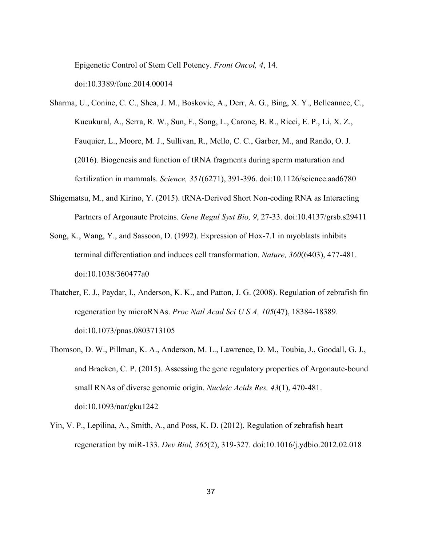Epigenetic Control of Stem Cell Potency. *Front Oncol, 4*, 14.

doi:10.3389/fonc.2014.00014

- Sharma, U., Conine, C. C., Shea, J. M., Boskovic, A., Derr, A. G., Bing, X. Y., Belleannee, C., Kucukural, A., Serra, R. W., Sun, F., Song, L., Carone, B. R., Ricci, E. P., Li, X. Z., Fauquier, L., Moore, M. J., Sullivan, R., Mello, C. C., Garber, M., and Rando, O. J. (2016). Biogenesis and function of tRNA fragments during sperm maturation and fertilization in mammals. *Science, 351*(6271), 391-396. doi:10.1126/science.aad6780
- Shigematsu, M., and Kirino, Y. (2015). tRNA-Derived Short Non-coding RNA as Interacting Partners of Argonaute Proteins. *Gene Regul Syst Bio, 9*, 27-33. doi:10.4137/grsb.s29411
- Song, K., Wang, Y., and Sassoon, D. (1992). Expression of Hox-7.1 in myoblasts inhibits terminal differentiation and induces cell transformation. *Nature, 360*(6403), 477-481. doi:10.1038/360477a0
- Thatcher, E. J., Paydar, I., Anderson, K. K., and Patton, J. G. (2008). Regulation of zebrafish fin regeneration by microRNAs. *Proc Natl Acad Sci U S A, 105*(47), 18384-18389. doi:10.1073/pnas.0803713105
- Thomson, D. W., Pillman, K. A., Anderson, M. L., Lawrence, D. M., Toubia, J., Goodall, G. J., and Bracken, C. P. (2015). Assessing the gene regulatory properties of Argonaute-bound small RNAs of diverse genomic origin. *Nucleic Acids Res, 43*(1), 470-481. doi:10.1093/nar/gku1242
- Yin, V. P., Lepilina, A., Smith, A., and Poss, K. D. (2012). Regulation of zebrafish heart regeneration by miR-133. *Dev Biol, 365*(2), 319-327. doi:10.1016/j.ydbio.2012.02.018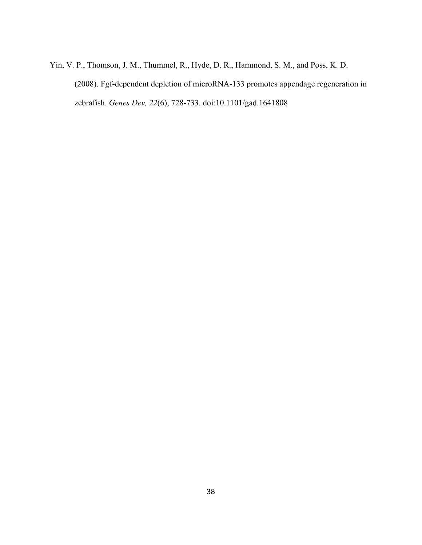Yin, V. P., Thomson, J. M., Thummel, R., Hyde, D. R., Hammond, S. M., and Poss, K. D. (2008). Fgf-dependent depletion of microRNA-133 promotes appendage regeneration in zebrafish. *Genes Dev, 22*(6), 728-733. doi:10.1101/gad.1641808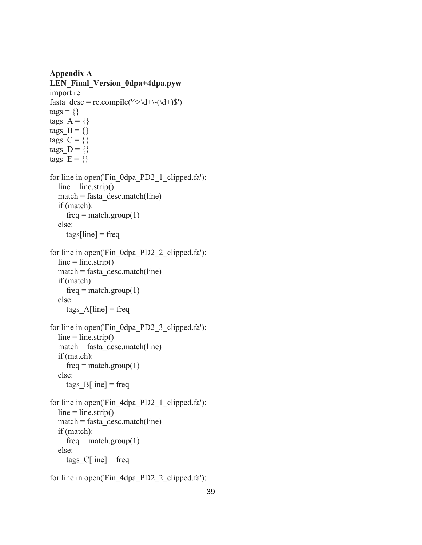**Appendix A LEN\_Final\_Version\_0dpa+4dpa.pyw** import re fasta\_desc = re.compile(' $\sim$ \d+\-(\d+)\$')  $tags = \{\}$ tags  $A = \{\}$ tags  $B = \{\}$ tags  $C = \{\}$ tags  $D = \{\}$ tags  $E = \{\}$ for line in open('Fin\_0dpa\_PD2\_1\_clipped.fa'):  $line = line. strip()$  $match = fasta$  desc.match(line) if (match):  $freq = match.group(1)$  else:  $tags[line] = freq$ for line in open('Fin\_0dpa\_PD2\_2\_clipped.fa'):  $line = line. strip()$  $match = fasta$  desc.match(line) if (match):  $freq = match.group(1)$  else:  $tags_A[line] = freq$ for line in open('Fin\_0dpa\_PD2\_3\_clipped.fa'):  $line = line. strip()$  $match = fasta$  desc.match(line) if (match):  $freq = match.group(1)$  else: tags  $B[line] = freq$ for line in open('Fin\_4dpa\_PD2\_1\_clipped.fa'):  $line = line. strip()$  $match = fasta$  desc.match(line) if (match):  $freq = match.group(1)$  else: tags  $C[line] = freq$ 

for line in open('Fin\_4dpa\_PD2\_2\_clipped.fa'):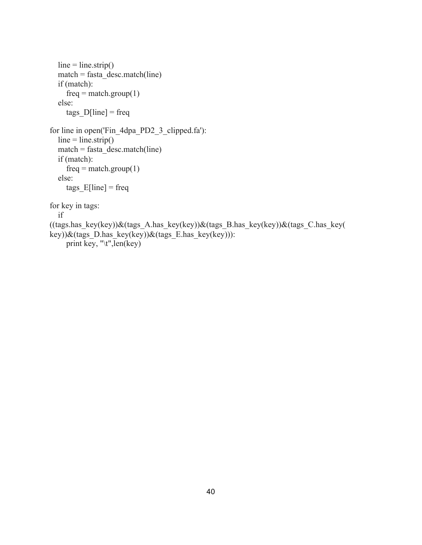```
line = line. strip()match = fasta<sup>desc.match(line)</sup>
   if (match):
     freq = match.group(1) else:
     tags\_D[line] = freqfor line in open('Fin_4dpa_PD2_3_clipped.fa'):
  line = line. strip()match = fasta desc.match(line)
   if (match):
     freq = match.group(1) else:
     tags E[line] = freqfor key in tags:
   if 
((tags.has key(key))\&(tags-A.has key(key))\&(tags_B.haskey(key))\&(tags_C.haskey(teg))key))&(tags_D.has_key(key))&(tags_E.has_key(key))):
     print key, "\t",\overline{len}(key)
```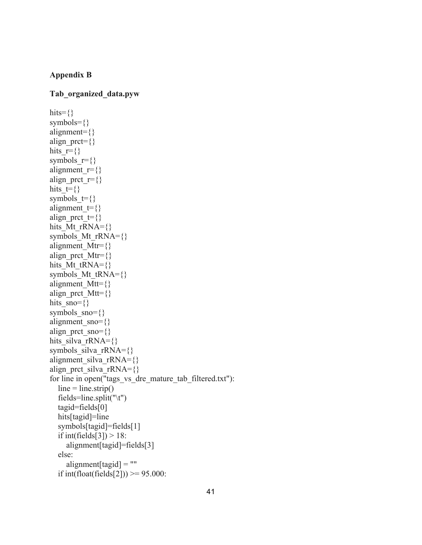# **Appendix B**

## **Tab\_organized\_data.pyw**

```
hits=\{\}symbols={}
alignment={}
align prct=\{\}hits r=\{\}symbols r=\}alignment r=\{\}align prct r=\{\}hits_t=\{\}symbols t=\{\}alignment t=\{\}align prct t=\hits Mt rRNA={}symbols Mt rRNA={}
alignment Mtr={}align prct Mtr=\{\}hits Mt tRNA=\{\}symbols Mt tRNA=\alignment Mtt={}align prct Mtt={}hits \text{sno}=\{\}symbols sno={}
alignment_sno={}
align prct sno={}
hits silva rRNA={}}
symbols_silva_rRNA={}
alignment_silva_rRNA=\{\}align prct silva rRNA={}for line in open("tags_vs_dre_mature_tab_filtered.txt"):
  line = line. strip() fields=line.split("\t")
   tagid=fields[0]
   hits[tagid]=line
   symbols[tagid]=fields[1]
  if int(fields[3]) > 18:
     alignment[tagid]=fields[3]
   else:
     alignment[tagid] = "if int(float(fields[2])) >= 95.000:
```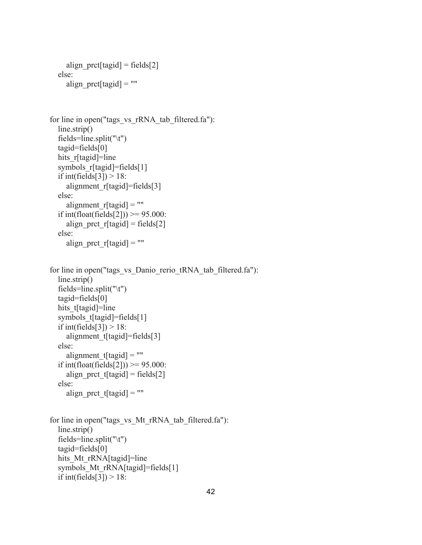```
align pret[tagid] = fields[2] else:
      align_prct[tagid] = ""
for line in open("tags_vs_rRNA_tab_filtered.fa"):
  line.strip()
   fields=line.split("\t")
   tagid=fields[0]
  hits r[tagid]=line
  symbols r[tagid]=fields[1]
  if int(fields[3]) > 18:
     alignment r[tagid]=fields[3]
   else:
     alignment r[tagi] = ""if int(float(fields[2])) > = 95.000:
     align prct r[tagid] = \text{fields}[2] else:
     align_prct_r[tagid] = ""
for line in open("tags_vs_Danio_rerio_tRNA_tab_filtered.fa"):
  line.strip()
   fields=line.split("\t")
   tagid=fields[0]
  hits t[tagid]=line
  symbols t[tagid]=fields[1]
  if int(fields[3]) > 18:
     alignment t[tagid]=fields[3]
   else:
     alignment t[tagid] = ""if int(float(fields[2])) >= 95.000:
     align prct t[tagid] = \text{fields}[2] else:
     align prct t[tagid] = ""for line in open("tags_vs_Mt_rRNA_tab_filtered.fa"):
  line.strip()
   fields=line.split("\t")
   tagid=fields[0]
  hits Mt_rRNA[tagid]=line
  symbols Mt rRNA[tagid]=fields[1]
  if int(fields[3]) > 18:
```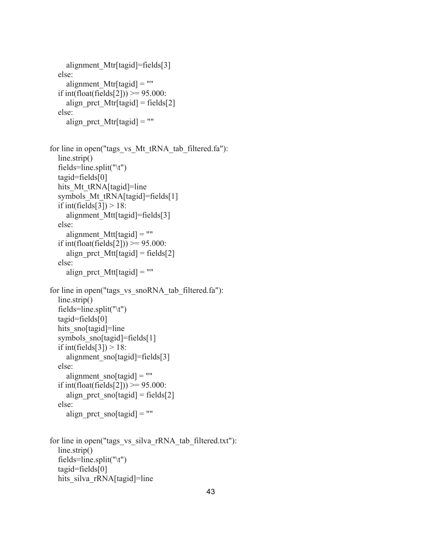```
 alignment_Mtr[tagid]=fields[3]
   else:
     alignment Mtr[tagid] = ""if int(float(fields[2])) >= 95.000:
     align prct Mtr[tagid] = fields[2]
   else:
     align prct Mtr[tagid] = ""
for line in open("tags_vs_Mt_tRNA_tab_filtered.fa"):
  line.strip()
   fields=line.split("\t")
   tagid=fields[0]
  hits Mt tRNA[tagid]=line
  symbols Mt tRNA[tagid]=fields[1]
  if int(fields[3]) > 18:
     alignment Mtt[tagid]=fields[3]
   else:
     alignment Mtt[tagid] = ""if int(float(fields[2])) >= 95.000:
     align prct Mtt[tagid] = fields[2]
   else:
      align_prct_Mtt[tagid] = ""
for line in open("tags_vs_snoRNA_tab_filtered.fa"):
  line.strip()
   fields=line.split("\t")
   tagid=fields[0]
  hits_sno[tagid]=line
  symbols_sno[tagid]=fields[1]
  if int(fields[3]) > 18:
     alignment_sno[tagid]=fields[3]
   else:
     alignment_sno[tagid] = ""
  if int(float(fields[2])) > = 95.000:
     align prct sno[tagid] = fields[2]
   else:
     align prct snoftagid = ""
for line in open("tags_vs_silva_rRNA_tab_filtered.txt"):
   line.strip()
   fields=line.split("\t")
   tagid=fields[0]
```
hits silva rRNA[tagid]=line

```
43
```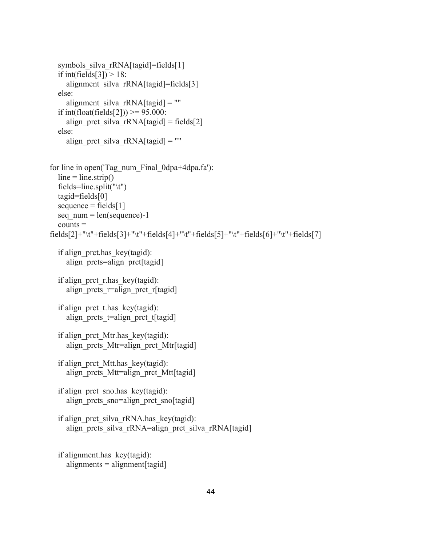```
symbols_silva_rRNA[tagid]=fields[1]
  if int(fields[3]) > 18:
     alignment_silva_rRNA[tagid]=fields[3]
   else:
     alignment_silva_rRNA[tagid] = ""
  if int(float(fields[2])) >= 95.000:
     align prct silva rRNA[tagid] = fields[2] else:
     align prct silva rRNA[tagid] = ""
for line in open('Tag_num_Final_0dpa+4dpa.fa'):
  line = line. strip() fields=line.split("\t")
   tagid=fields[0]
  sequence = fields[1]seq num = len(sequence)-1counts =fields[2]+"\t"+fields[3]+"\t"+fields[4]+"\t"+fields[5]+"\t"+fields[6]+"\t"+fields[7]
   if align_prct.has_key(tagid):
     align prcts=align prct[tagid]
   if align_prct_r.has_key(tagid):
     align prcts r=align prct r[tagid]
  if align prct thas key(tagid):
     align prcts t=align prct t[tagid]
   if align_prct_Mtr.has_key(tagid):
     align prcts Mtr=align prct Mtr[tagid]
   if align_prct_Mtt.has_key(tagid):
     align prcts Mtt=align prct Mtt[tagid]
   if align_prct_sno.has_key(tagid):
     align prcts sno=align prct sno[tagid]
  if align prct silva rRNA.has key(tagid):
     align_prcts_silva_rRNA=align_prct_silva_rRNA[tagid]
   if alignment.has_key(tagid):
```

```
alignments = alignment[tagid]
```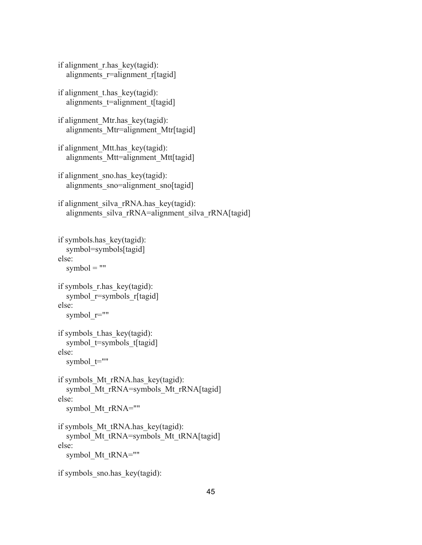```
 if alignment_r.has_key(tagid):
  alignments r=alignment r[tagid]
if alignment thas key(tagid):
  alignments t=alignment t[tagid]
 if alignment_Mtr.has_key(tagid):
  alignments Mtr=alignment Mtr[tagid]
 if alignment_Mtt.has_key(tagid):
  alignments Mtt=alignment Mtt[tagid]
 if alignment_sno.has_key(tagid):
  alignments sno=alignment sno[tagid]
if alignment silva rRNA.has key(tagid):
  alignments_silva_rRNA=alignment_silva_rRNA[tagid]
 if symbols.has_key(tagid):
   symbol=symbols[tagid]
 else:
  symbol = "if symbols r.has key(tagid):
  symbol r=symbols r[tagid]
 else:
  symbol r=""
if symbols thas key(tagid):
  symbol t=symbols t[tagid]
 else:
  symbol t=""
 if symbols_Mt_rRNA.has_key(tagid):
  symbol Mt rRNA=symbols Mt rRNA[tagid]
 else:
  symbol Mt rRNA=""
if symbols Mt tRNA.has key(tagid):
  symbol_Mt_tRNA=symbols_Mt_tRNA[tagid]
 else:
```

```
symbol_Mt_tRNA=""
```

```
if symbols sno.has key(tagid):
```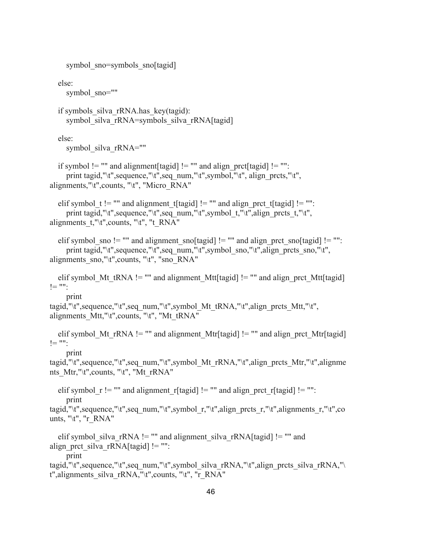```
symbol sno=symbols sno[tagid]
   else:
     symbol_sno=""
   if symbols_silva_rRNA.has_key(tagid):
     symbol silva rRNA=symbols silva rRNA[tagid]
   else:
     symbol silva rRNA=""
  if symbol != "" and alignment [tagid] != "" and align prct[tagid] != "":
     print tagid,"\t",sequence,"\t",seq_num,"\t",symbol,"\t", align_prcts,"\t",
alignments,"\t", counts, "\t", "Micro_RNA"
  elif symbol_t != "" and alignment_t[tagid] != "" and align_prct_t[tagid] != "":
     print tagid,"\t",sequence,"\t",seq_num,"\t",symbol_t,"\t",align_prcts_t,"\t",
alignments t,"\t",counts, "\t", "t_RNA"
  elif symbol_sno != "" and alignment_sno[tagid] != "" and align_prct_sno[tagid] != "":
     print tagid,"\t",sequence,"\t",seq_num,"\t",symbol_sno,"\t",align_prcts_sno,"\t",
alignments \text{sno}, \text{``t''}, \text{counts}, \text{``t''}, \text{''sno}_RNA"elif symbol Mt tRNA != "" and alignment Mtt[tagid] != "" and align prct Mtt[tagid]
!= "":
     print 
tagid,"\t",sequence,"\t",seq_num,"\t",symbol_Mt_tRNA,"\t",align_prcts_Mtt,"\t",
alignments Mtt, "\t", counts, "\t", "Mt_tRNA"
  elif symbol Mt rRNA != "" and alignment Mtr[tagid] != "" and align prct Mtr[tagid]
! = " print 
tagid,"\t",sequence,"\t",seq_num,"\t",symbol_Mt_rRNA,"\t",align_prcts_Mtr,"\t",alignme
nts_Mtr,"\t",counts, "\t", "Mt_rRNA"
  elif symbol r != "" and alignment r[tagid] != "" and align prct r[tagid] != "":
      print 
tagid,"\t",sequence,"\t",seq_num,"\t",symbol_r,"\t",align_prcts_r,"\t",alignments_r,"\t",co
unts, "\t", "r_RNA"
  elif symbol silva rRNA != "" and alignment silva rRNA[tagid] != "" and
align prct silva rRNA[tagid] != "":
      print 
tagid,"\t",sequence,"\t",seq_num,"\t",symbol_silva_rRNA,"\t",align_prcts_silva_rRNA,"\
t", alignments_silva_rRNA, "\t", counts, "\t", "r_RNA"
```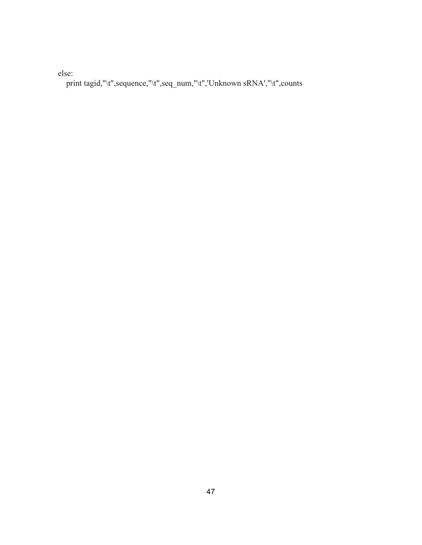else:

print tagid,"\t",sequence,"\t",seq\_num,"\t",'Unknown sRNA',"\t",counts